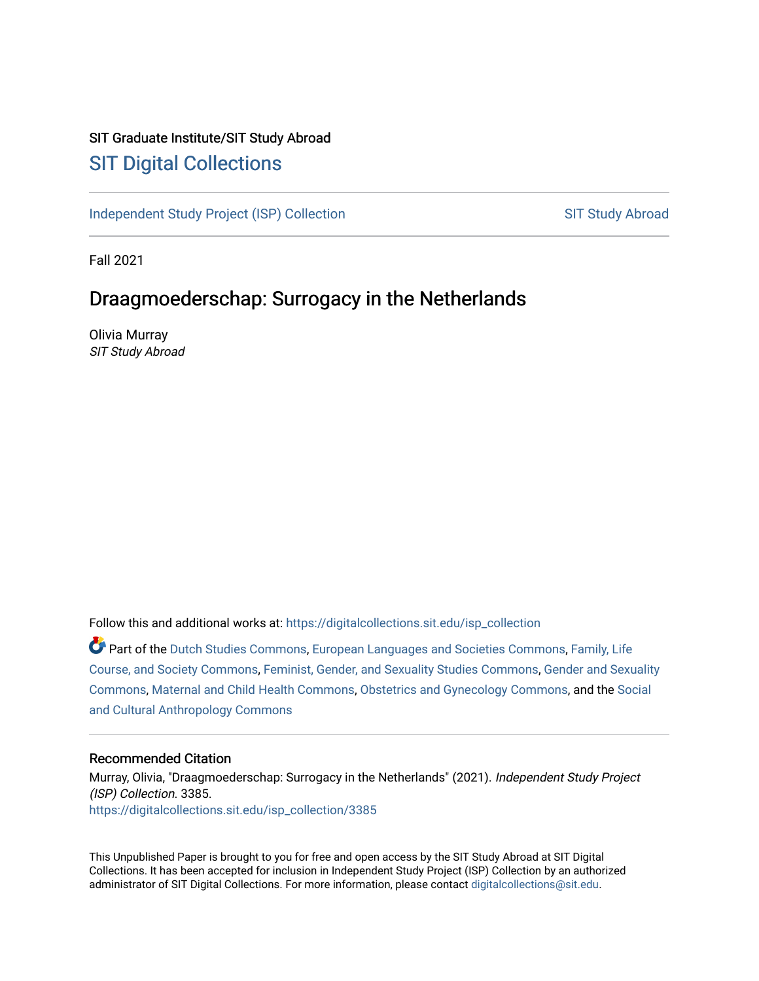# SIT Graduate Institute/SIT Study Abroad [SIT Digital Collections](https://digitalcollections.sit.edu/)

[Independent Study Project \(ISP\) Collection](https://digitalcollections.sit.edu/isp_collection) [SIT Study Abroad](https://digitalcollections.sit.edu/study_abroad) SIT Study Abroad

Fall 2021

# Draagmoederschap: Surrogacy in the Netherlands

Olivia Murray SIT Study Abroad

Follow this and additional works at: [https://digitalcollections.sit.edu/isp\\_collection](https://digitalcollections.sit.edu/isp_collection?utm_source=digitalcollections.sit.edu%2Fisp_collection%2F3385&utm_medium=PDF&utm_campaign=PDFCoverPages) 

Part of the [Dutch Studies Commons,](http://network.bepress.com/hgg/discipline/478?utm_source=digitalcollections.sit.edu%2Fisp_collection%2F3385&utm_medium=PDF&utm_campaign=PDFCoverPages) [European Languages and Societies Commons](http://network.bepress.com/hgg/discipline/482?utm_source=digitalcollections.sit.edu%2Fisp_collection%2F3385&utm_medium=PDF&utm_campaign=PDFCoverPages), [Family, Life](http://network.bepress.com/hgg/discipline/419?utm_source=digitalcollections.sit.edu%2Fisp_collection%2F3385&utm_medium=PDF&utm_campaign=PDFCoverPages) [Course, and Society Commons](http://network.bepress.com/hgg/discipline/419?utm_source=digitalcollections.sit.edu%2Fisp_collection%2F3385&utm_medium=PDF&utm_campaign=PDFCoverPages), [Feminist, Gender, and Sexuality Studies Commons,](http://network.bepress.com/hgg/discipline/559?utm_source=digitalcollections.sit.edu%2Fisp_collection%2F3385&utm_medium=PDF&utm_campaign=PDFCoverPages) [Gender and Sexuality](http://network.bepress.com/hgg/discipline/420?utm_source=digitalcollections.sit.edu%2Fisp_collection%2F3385&utm_medium=PDF&utm_campaign=PDFCoverPages) [Commons](http://network.bepress.com/hgg/discipline/420?utm_source=digitalcollections.sit.edu%2Fisp_collection%2F3385&utm_medium=PDF&utm_campaign=PDFCoverPages), [Maternal and Child Health Commons](http://network.bepress.com/hgg/discipline/745?utm_source=digitalcollections.sit.edu%2Fisp_collection%2F3385&utm_medium=PDF&utm_campaign=PDFCoverPages), [Obstetrics and Gynecology Commons](http://network.bepress.com/hgg/discipline/693?utm_source=digitalcollections.sit.edu%2Fisp_collection%2F3385&utm_medium=PDF&utm_campaign=PDFCoverPages), and the [Social](http://network.bepress.com/hgg/discipline/323?utm_source=digitalcollections.sit.edu%2Fisp_collection%2F3385&utm_medium=PDF&utm_campaign=PDFCoverPages) [and Cultural Anthropology Commons](http://network.bepress.com/hgg/discipline/323?utm_source=digitalcollections.sit.edu%2Fisp_collection%2F3385&utm_medium=PDF&utm_campaign=PDFCoverPages) 

#### Recommended Citation

Murray, Olivia, "Draagmoederschap: Surrogacy in the Netherlands" (2021). Independent Study Project (ISP) Collection. 3385. [https://digitalcollections.sit.edu/isp\\_collection/3385](https://digitalcollections.sit.edu/isp_collection/3385?utm_source=digitalcollections.sit.edu%2Fisp_collection%2F3385&utm_medium=PDF&utm_campaign=PDFCoverPages) 

This Unpublished Paper is brought to you for free and open access by the SIT Study Abroad at SIT Digital Collections. It has been accepted for inclusion in Independent Study Project (ISP) Collection by an authorized administrator of SIT Digital Collections. For more information, please contact [digitalcollections@sit.edu](mailto:digitalcollections@sit.edu).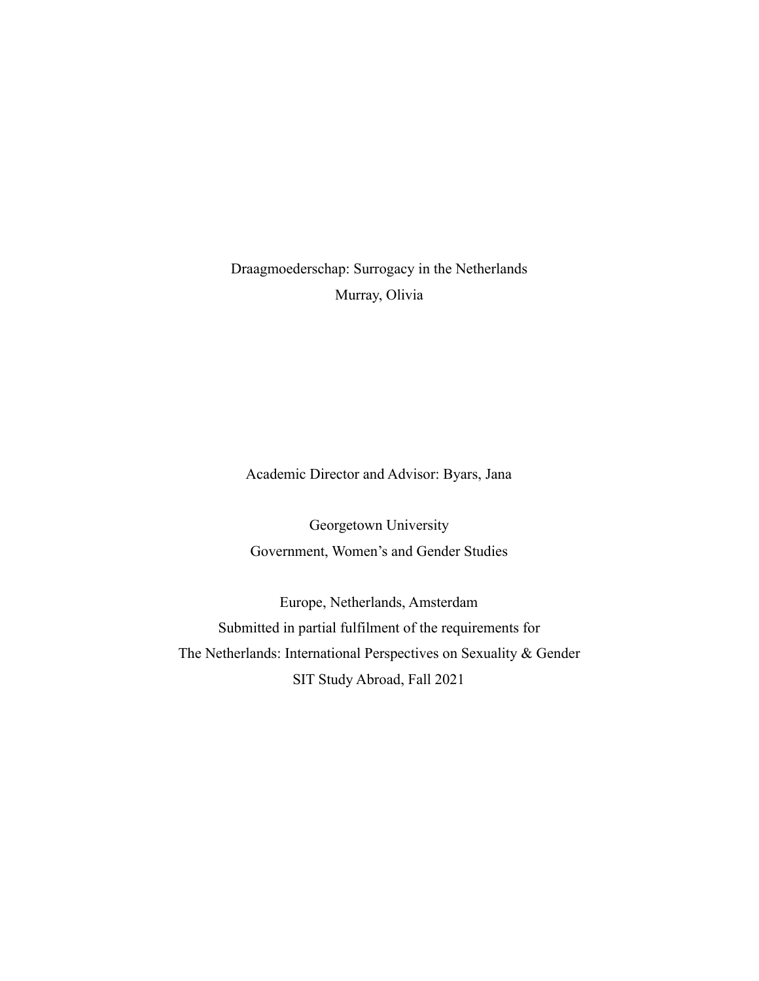Draagmoederschap: Surrogacy in the Netherlands Murray, Olivia

Academic Director and Advisor: Byars, Jana

Georgetown University Government, Women's and Gender Studies

Europe, Netherlands, Amsterdam Submitted in partial fulfilment of the requirements for The Netherlands: International Perspectives on Sexuality & Gender SIT Study Abroad, Fall 2021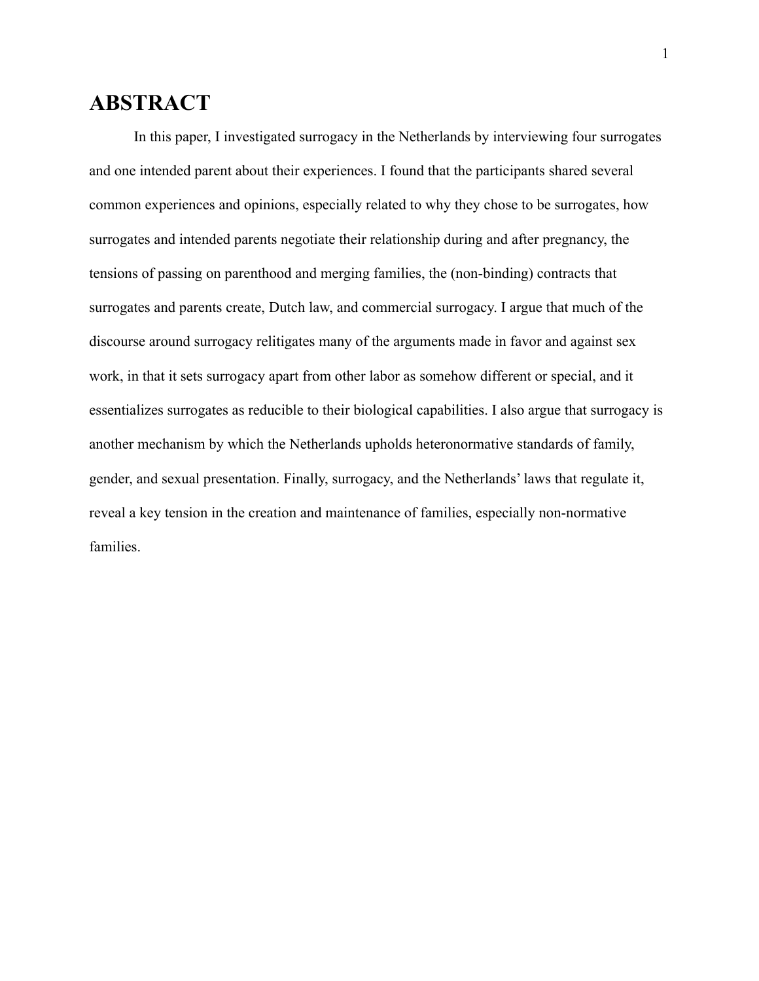# <span id="page-2-0"></span>**ABSTRACT**

In this paper, I investigated surrogacy in the Netherlands by interviewing four surrogates and one intended parent about their experiences. I found that the participants shared several common experiences and opinions, especially related to why they chose to be surrogates, how surrogates and intended parents negotiate their relationship during and after pregnancy, the tensions of passing on parenthood and merging families, the (non-binding) contracts that surrogates and parents create, Dutch law, and commercial surrogacy. I argue that much of the discourse around surrogacy relitigates many of the arguments made in favor and against sex work, in that it sets surrogacy apart from other labor as somehow different or special, and it essentializes surrogates as reducible to their biological capabilities. I also argue that surrogacy is another mechanism by which the Netherlands upholds heteronormative standards of family, gender, and sexual presentation. Finally, surrogacy, and the Netherlands' laws that regulate it, reveal a key tension in the creation and maintenance of families, especially non-normative families.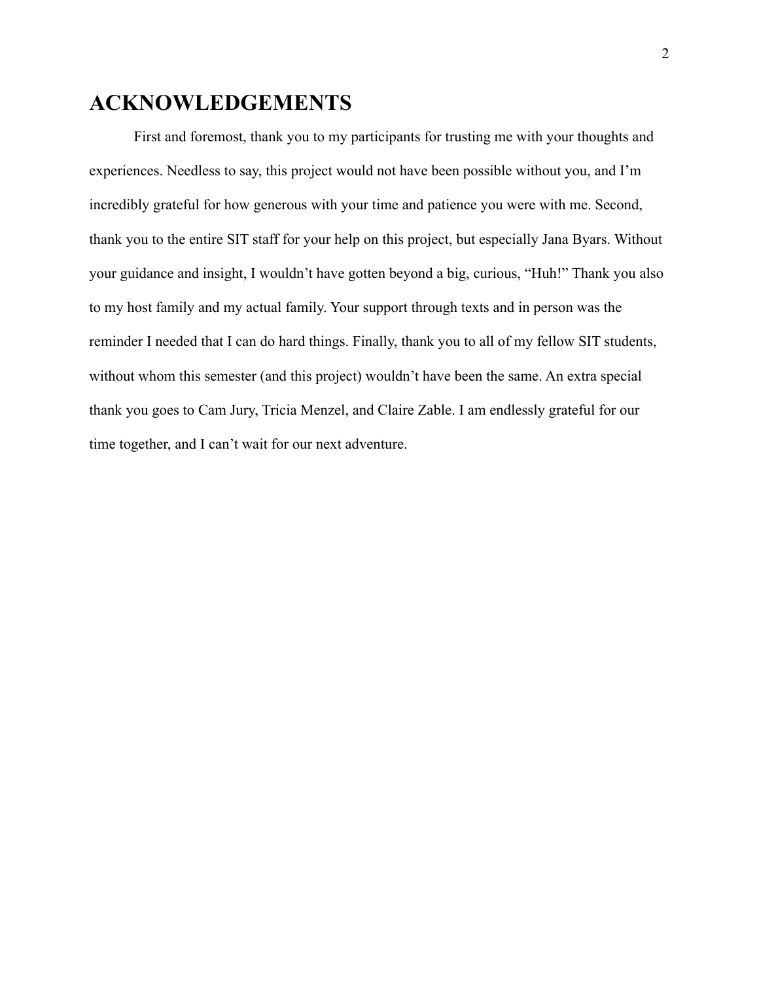# <span id="page-3-0"></span>**ACKNOWLEDGEMENTS**

First and foremost, thank you to my participants for trusting me with your thoughts and experiences. Needless to say, this project would not have been possible without you, and I'm incredibly grateful for how generous with your time and patience you were with me. Second, thank you to the entire SIT staff for your help on this project, but especially Jana Byars. Without your guidance and insight, I wouldn't have gotten beyond a big, curious, "Huh!" Thank you also to my host family and my actual family. Your support through texts and in person was the reminder I needed that I can do hard things. Finally, thank you to all of my fellow SIT students, without whom this semester (and this project) wouldn't have been the same. An extra special thank you goes to Cam Jury, Tricia Menzel, and Claire Zable. I am endlessly grateful for our time together, and I can't wait for our next adventure.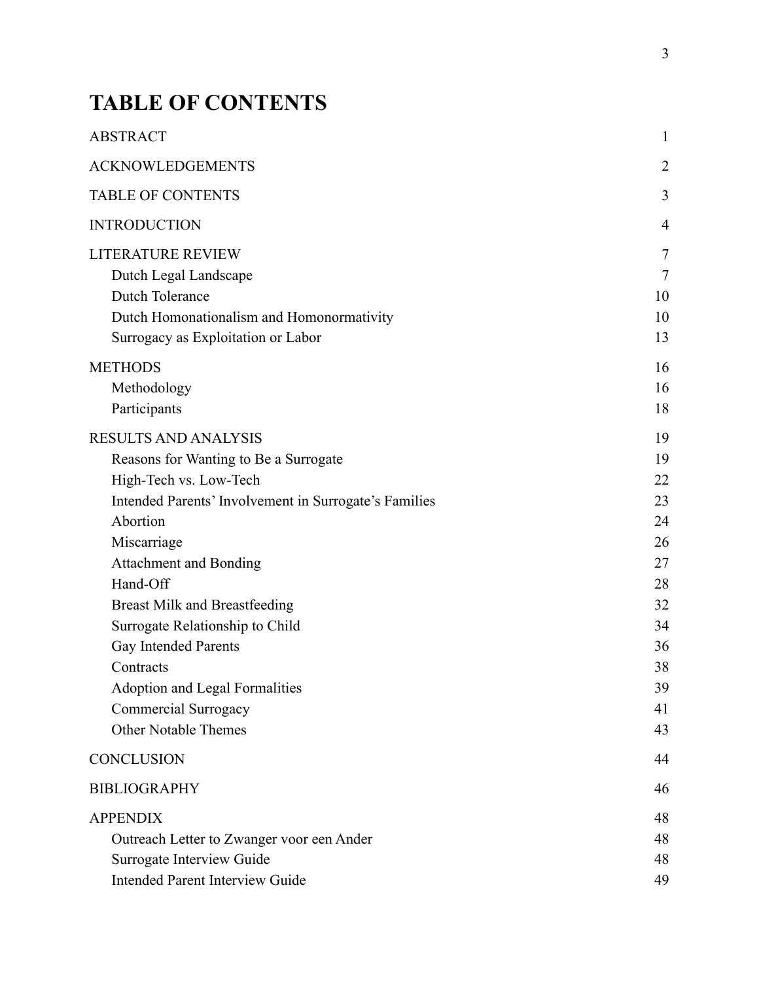# <span id="page-4-0"></span>**TABLE OF CONTENTS**

| <b>ABSTRACT</b>                                                                                                                                                                                                                                                                                                                                                                                                                                               | 1                                                                                      |
|---------------------------------------------------------------------------------------------------------------------------------------------------------------------------------------------------------------------------------------------------------------------------------------------------------------------------------------------------------------------------------------------------------------------------------------------------------------|----------------------------------------------------------------------------------------|
| <b>ACKNOWLEDGEMENTS</b>                                                                                                                                                                                                                                                                                                                                                                                                                                       | $\overline{2}$                                                                         |
| <b>TABLE OF CONTENTS</b>                                                                                                                                                                                                                                                                                                                                                                                                                                      | 3                                                                                      |
| <b>INTRODUCTION</b>                                                                                                                                                                                                                                                                                                                                                                                                                                           | 4                                                                                      |
| <b>LITERATURE REVIEW</b><br>Dutch Legal Landscape<br>Dutch Tolerance<br>Dutch Homonationalism and Homonormativity<br>Surrogacy as Exploitation or Labor                                                                                                                                                                                                                                                                                                       | 7<br>7<br>10<br>10<br>13                                                               |
| <b>METHODS</b><br>Methodology<br>Participants                                                                                                                                                                                                                                                                                                                                                                                                                 | 16<br>16<br>18                                                                         |
| <b>RESULTS AND ANALYSIS</b><br>Reasons for Wanting to Be a Surrogate<br>High-Tech vs. Low-Tech<br>Intended Parents' Involvement in Surrogate's Families<br>Abortion<br>Miscarriage<br><b>Attachment and Bonding</b><br>Hand-Off<br><b>Breast Milk and Breastfeeding</b><br>Surrogate Relationship to Child<br><b>Gay Intended Parents</b><br>Contracts<br><b>Adoption and Legal Formalities</b><br><b>Commercial Surrogacy</b><br><b>Other Notable Themes</b> | 19<br>19<br>22<br>23<br>24<br>26<br>27<br>28<br>32<br>34<br>36<br>38<br>39<br>41<br>43 |
| <b>CONCLUSION</b>                                                                                                                                                                                                                                                                                                                                                                                                                                             | 44                                                                                     |
| <b>BIBLIOGRAPHY</b>                                                                                                                                                                                                                                                                                                                                                                                                                                           | 46                                                                                     |
| <b>APPENDIX</b><br>Outreach Letter to Zwanger voor een Ander<br>Surrogate Interview Guide<br><b>Intended Parent Interview Guide</b>                                                                                                                                                                                                                                                                                                                           | 48<br>48<br>48<br>49                                                                   |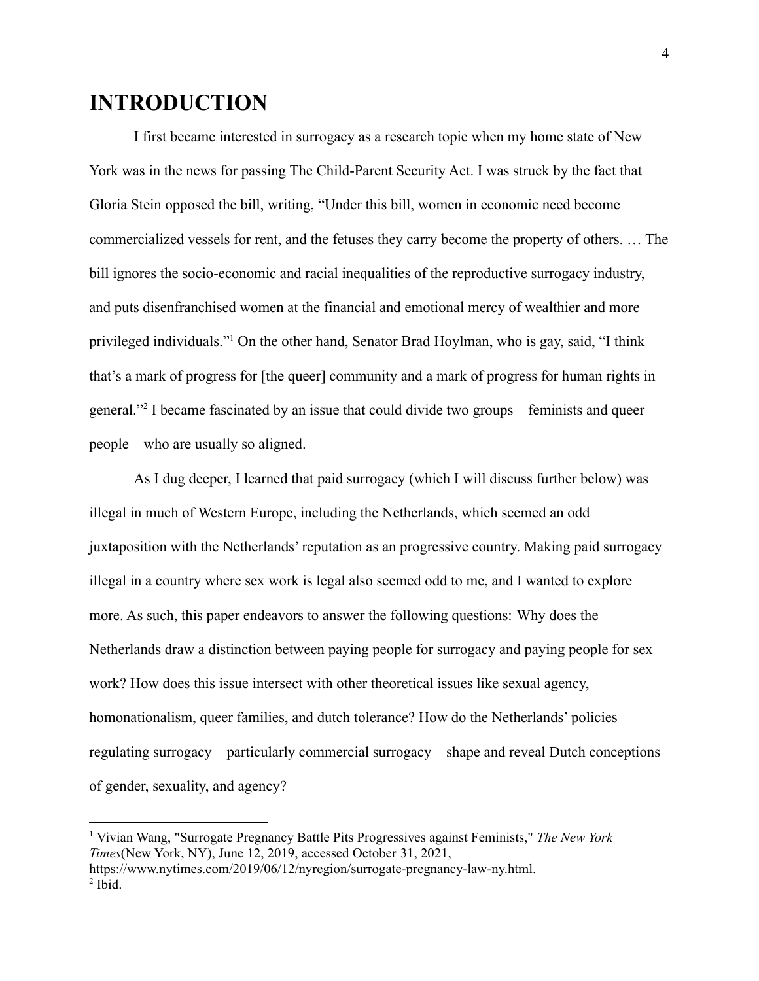# <span id="page-5-0"></span>**INTRODUCTION**

I first became interested in surrogacy as a research topic when my home state of New York was in the news for passing The Child-Parent Security Act. I was struck by the fact that Gloria Stein opposed the bill, writing, "Under this bill, women in economic need become commercialized vessels for rent, and the fetuses they carry become the property of others. … The bill ignores the socio-economic and racial inequalities of the reproductive surrogacy industry, and puts disenfranchised women at the financial and emotional mercy of wealthier and more privileged individuals."<sup>1</sup> On the other hand, Senator Brad Hoylman, who is gay, said, "I think that's a mark of progress for [the queer] community and a mark of progress for human rights in general."<sup>2</sup> I became fascinated by an issue that could divide two groups – feminists and queer people – who are usually so aligned.

As I dug deeper, I learned that paid surrogacy (which I will discuss further below) was illegal in much of Western Europe, including the Netherlands, which seemed an odd juxtaposition with the Netherlands' reputation as an progressive country. Making paid surrogacy illegal in a country where sex work is legal also seemed odd to me, and I wanted to explore more. As such, this paper endeavors to answer the following questions: Why does the Netherlands draw a distinction between paying people for surrogacy and paying people for sex work? How does this issue intersect with other theoretical issues like sexual agency, homonationalism, queer families, and dutch tolerance? How do the Netherlands' policies regulating surrogacy – particularly commercial surrogacy – shape and reveal Dutch conceptions of gender, sexuality, and agency?

<sup>1</sup> Vivian Wang, "Surrogate Pregnancy Battle Pits Progressives against Feminists," *The New York Times*(New York, NY), June 12, 2019, accessed October 31, 2021,

<sup>2</sup> Ibid. https://www.nytimes.com/2019/06/12/nyregion/surrogate-pregnancy-law-ny.html.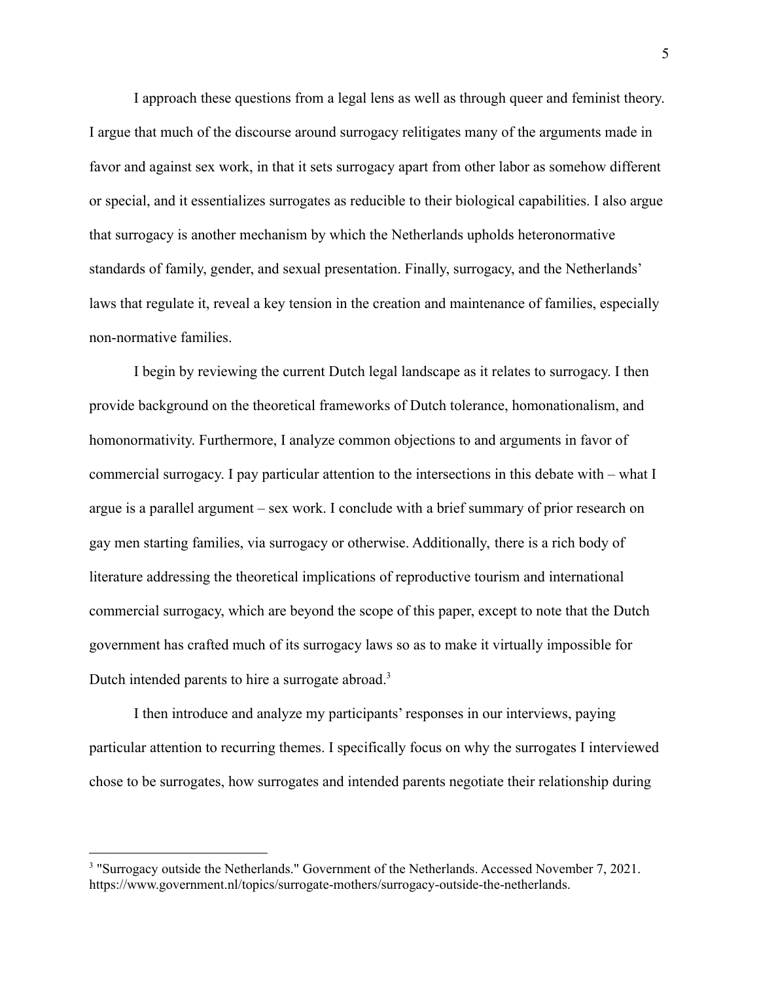I approach these questions from a legal lens as well as through queer and feminist theory. I argue that much of the discourse around surrogacy relitigates many of the arguments made in favor and against sex work, in that it sets surrogacy apart from other labor as somehow different or special, and it essentializes surrogates as reducible to their biological capabilities. I also argue that surrogacy is another mechanism by which the Netherlands upholds heteronormative standards of family, gender, and sexual presentation. Finally, surrogacy, and the Netherlands' laws that regulate it, reveal a key tension in the creation and maintenance of families, especially non-normative families.

I begin by reviewing the current Dutch legal landscape as it relates to surrogacy. I then provide background on the theoretical frameworks of Dutch tolerance, homonationalism, and homonormativity. Furthermore, I analyze common objections to and arguments in favor of commercial surrogacy. I pay particular attention to the intersections in this debate with – what I argue is a parallel argument – sex work. I conclude with a brief summary of prior research on gay men starting families, via surrogacy or otherwise. Additionally, there is a rich body of literature addressing the theoretical implications of reproductive tourism and international commercial surrogacy, which are beyond the scope of this paper, except to note that the Dutch government has crafted much of its surrogacy laws so as to make it virtually impossible for Dutch intended parents to hire a surrogate abroad.<sup>3</sup>

I then introduce and analyze my participants' responses in our interviews, paying particular attention to recurring themes. I specifically focus on why the surrogates I interviewed chose to be surrogates, how surrogates and intended parents negotiate their relationship during

<sup>&</sup>lt;sup>3</sup> "Surrogacy outside the Netherlands." Government of the Netherlands. Accessed November 7, 2021. https://www.government.nl/topics/surrogate-mothers/surrogacy-outside-the-netherlands.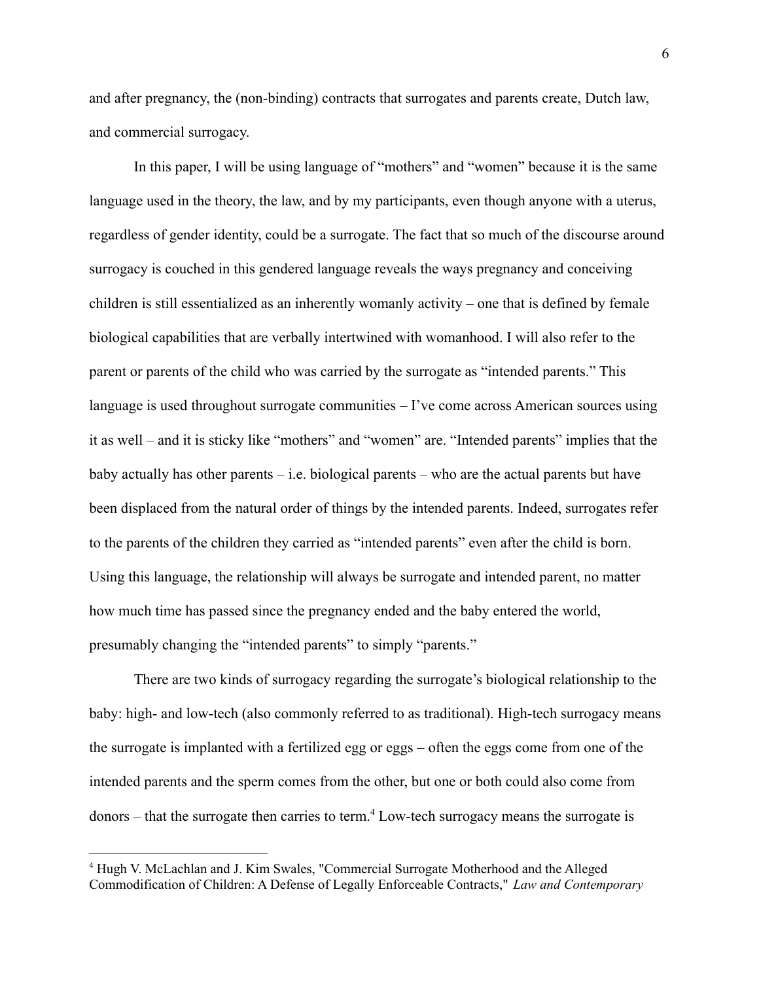and after pregnancy, the (non-binding) contracts that surrogates and parents create, Dutch law, and commercial surrogacy.

In this paper, I will be using language of "mothers" and "women" because it is the same language used in the theory, the law, and by my participants, even though anyone with a uterus, regardless of gender identity, could be a surrogate. The fact that so much of the discourse around surrogacy is couched in this gendered language reveals the ways pregnancy and conceiving children is still essentialized as an inherently womanly activity – one that is defined by female biological capabilities that are verbally intertwined with womanhood. I will also refer to the parent or parents of the child who was carried by the surrogate as "intended parents." This language is used throughout surrogate communities – I've come across American sources using it as well – and it is sticky like "mothers" and "women" are. "Intended parents" implies that the baby actually has other parents  $-$  i.e. biological parents  $-$  who are the actual parents but have been displaced from the natural order of things by the intended parents. Indeed, surrogates refer to the parents of the children they carried as "intended parents" even after the child is born. Using this language, the relationship will always be surrogate and intended parent, no matter how much time has passed since the pregnancy ended and the baby entered the world, presumably changing the "intended parents" to simply "parents."

There are two kinds of surrogacy regarding the surrogate's biological relationship to the baby: high- and low-tech (also commonly referred to as traditional). High-tech surrogacy means the surrogate is implanted with a fertilized egg or eggs – often the eggs come from one of the intended parents and the sperm comes from the other, but one or both could also come from  $donors$  – that the surrogate then carries to term.<sup>4</sup> Low-tech surrogacy means the surrogate is

<sup>4</sup> Hugh V. McLachlan and J. Kim Swales, "Commercial Surrogate Motherhood and the Alleged Commodification of Children: A Defense of Legally Enforceable Contracts," *Law and Contemporary*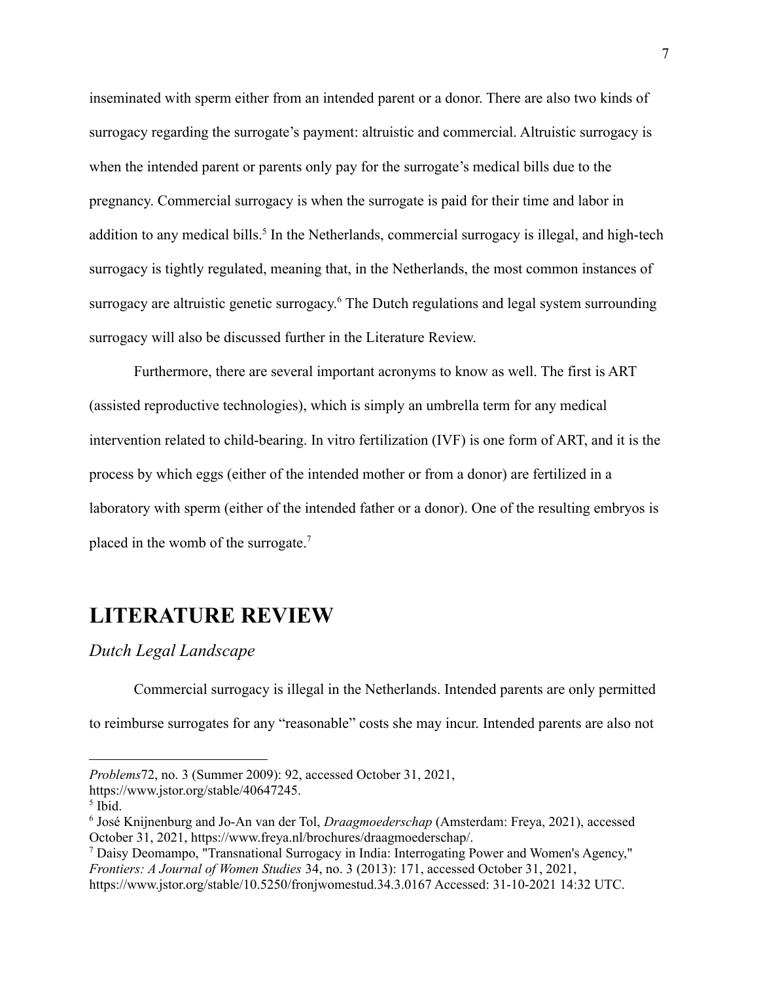inseminated with sperm either from an intended parent or a donor. There are also two kinds of surrogacy regarding the surrogate's payment: altruistic and commercial. Altruistic surrogacy is when the intended parent or parents only pay for the surrogate's medical bills due to the pregnancy. Commercial surrogacy is when the surrogate is paid for their time and labor in addition to any medical bills.<sup>5</sup> In the Netherlands, commercial surrogacy is illegal, and high-tech surrogacy is tightly regulated, meaning that, in the Netherlands, the most common instances of surrogacy are altruistic genetic surrogacy.<sup>6</sup> The Dutch regulations and legal system surrounding surrogacy will also be discussed further in the Literature Review.

Furthermore, there are several important acronyms to know as well. The first is ART (assisted reproductive technologies), which is simply an umbrella term for any medical intervention related to child-bearing. In vitro fertilization (IVF) is one form of ART, and it is the process by which eggs (either of the intended mother or from a donor) are fertilized in a laboratory with sperm (either of the intended father or a donor). One of the resulting embryos is placed in the womb of the surrogate.<sup>7</sup>

# **LITERATURE REVIEW**

#### <span id="page-8-0"></span>*Dutch Legal Landscape*

Commercial surrogacy is illegal in the Netherlands. Intended parents are only permitted to reimburse surrogates for any "reasonable" costs she may incur. Intended parents are also not

*Problems*72, no. 3 (Summer 2009): 92, accessed October 31, 2021,

https://www.jstor.org/stable/40647245.

<sup>5</sup> Ibid.

<sup>6</sup> José Knijnenburg and Jo-An van der Tol, *Draagmoederschap* (Amsterdam: Freya, 2021), accessed October 31, 2021, https://www.freya.nl/brochures/draagmoederschap/.

<sup>7</sup> Daisy Deomampo, "Transnational Surrogacy in India: Interrogating Power and Women's Agency," *Frontiers: A Journal of Women Studies* 34, no. 3 (2013): 171, accessed October 31, 2021, https://www.jstor.org/stable/10.5250/fronjwomestud.34.3.0167 Accessed: 31-10-2021 14:32 UTC.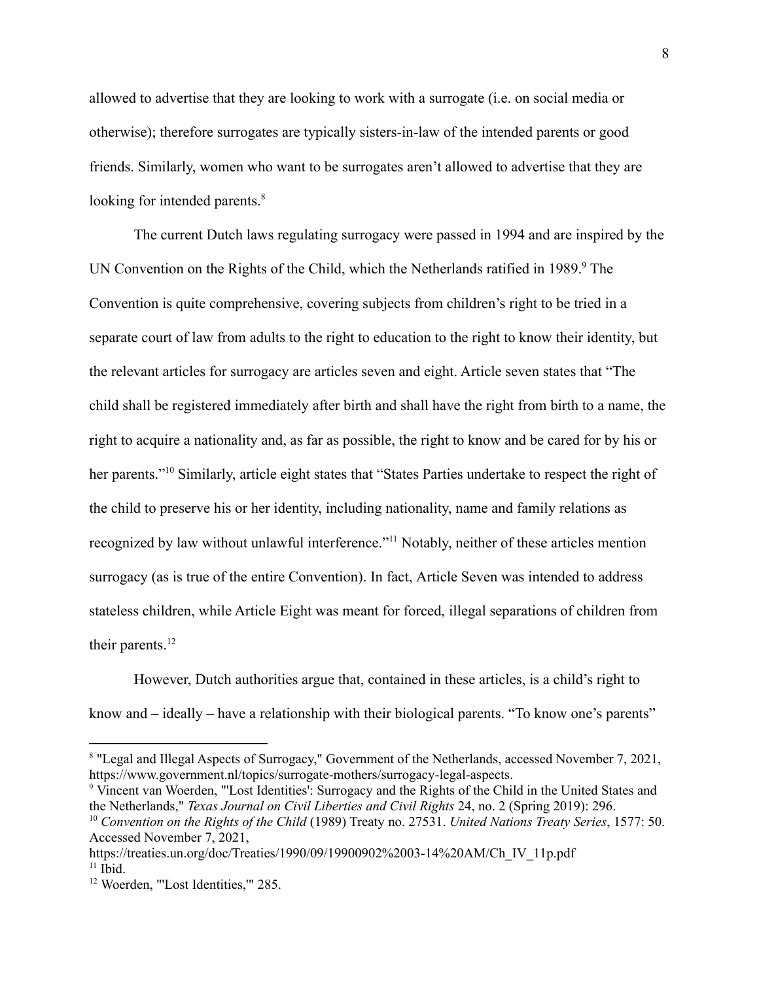allowed to advertise that they are looking to work with a surrogate (i.e. on social media or otherwise); therefore surrogates are typically sisters-in-law of the intended parents or good friends. Similarly, women who want to be surrogates aren't allowed to advertise that they are looking for intended parents.<sup>8</sup>

The current Dutch laws regulating surrogacy were passed in 1994 and are inspired by the UN Convention on the Rights of the Child, which the Netherlands ratified in 1989.<sup>9</sup> The Convention is quite comprehensive, covering subjects from children's right to be tried in a separate court of law from adults to the right to education to the right to know their identity, but the relevant articles for surrogacy are articles seven and eight. Article seven states that "The child shall be registered immediately after birth and shall have the right from birth to a name, the right to acquire a nationality and, as far as possible, the right to know and be cared for by his or her parents."<sup>10</sup> Similarly, article eight states that "States Parties undertake to respect the right of the child to preserve his or her identity, including nationality, name and family relations as recognized by law without unlawful interference."<sup>11</sup> Notably, neither of these articles mention surrogacy (as is true of the entire Convention). In fact, Article Seven was intended to address stateless children, while Article Eight was meant for forced, illegal separations of children from their parents.<sup>12</sup>

However, Dutch authorities argue that, contained in these articles, is a child's right to know and – ideally – have a relationship with their biological parents. "To know one's parents"

<sup>8</sup> "Legal and Illegal Aspects of Surrogacy," Government of the Netherlands, accessed November 7, 2021, https://www.government.nl/topics/surrogate-mothers/surrogacy-legal-aspects.

<sup>9</sup> Vincent van Woerden, "'Lost Identities': Surrogacy and the Rights of the Child in the United States and the Netherlands," *Texas Journal on Civil Liberties and Civil Rights* 24, no. 2 (Spring 2019): 296.

<sup>10</sup> *Convention on the Rights of the Child* (1989) Treaty no. 27531. *United Nations Treaty Series*, 1577: 50. Accessed November 7, 2021,

<sup>&</sup>lt;sup>11</sup> Ibid. https://treaties.un.org/doc/Treaties/1990/09/19900902%2003-14%20AM/Ch\_IV\_11p.pdf

<sup>&</sup>lt;sup>12</sup> Woerden, "'Lost Identities," 285.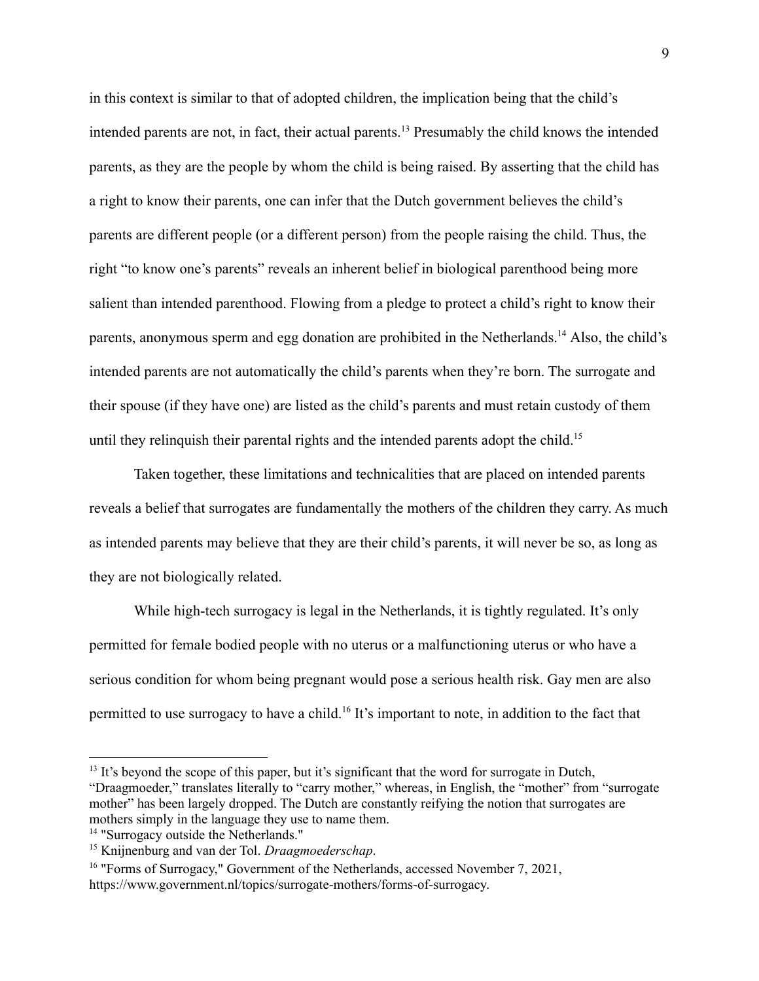in this context is similar to that of adopted children, the implication being that the child's intended parents are not, in fact, their actual parents.<sup>13</sup> Presumably the child knows the intended parents, as they are the people by whom the child is being raised. By asserting that the child has a right to know their parents, one can infer that the Dutch government believes the child's parents are different people (or a different person) from the people raising the child. Thus, the right "to know one's parents" reveals an inherent belief in biological parenthood being more salient than intended parenthood. Flowing from a pledge to protect a child's right to know their parents, anonymous sperm and egg donation are prohibited in the Netherlands.<sup>14</sup> Also, the child's intended parents are not automatically the child's parents when they're born. The surrogate and their spouse (if they have one) are listed as the child's parents and must retain custody of them until they relinquish their parental rights and the intended parents adopt the child.<sup>15</sup>

Taken together, these limitations and technicalities that are placed on intended parents reveals a belief that surrogates are fundamentally the mothers of the children they carry. As much as intended parents may believe that they are their child's parents, it will never be so, as long as they are not biologically related.

While high-tech surrogacy is legal in the Netherlands, it is tightly regulated. It's only permitted for female bodied people with no uterus or a malfunctioning uterus or who have a serious condition for whom being pregnant would pose a serious health risk. Gay men are also permitted to use surrogacy to have a child.<sup>16</sup> It's important to note, in addition to the fact that

<sup>&</sup>lt;sup>13</sup> It's beyond the scope of this paper, but it's significant that the word for surrogate in Dutch, "Draagmoeder," translates literally to "carry mother," whereas, in English, the "mother" from "surrogate mother" has been largely dropped. The Dutch are constantly reifying the notion that surrogates are mothers simply in the language they use to name them.

<sup>&</sup>lt;sup>14</sup> "Surrogacy outside the Netherlands."

<sup>15</sup> Knijnenburg and van der Tol. *Draagmoederschap*.

<sup>&</sup>lt;sup>16</sup> "Forms of Surrogacy," Government of the Netherlands, accessed November 7, 2021, https://www.government.nl/topics/surrogate-mothers/forms-of-surrogacy.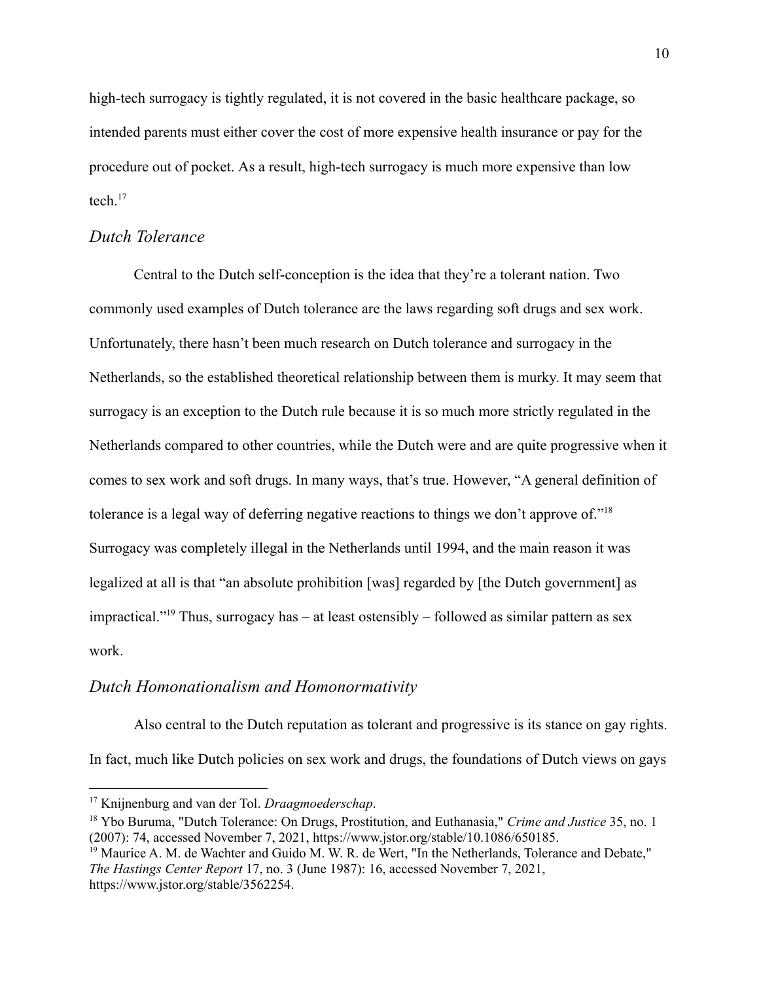high-tech surrogacy is tightly regulated, it is not covered in the basic healthcare package, so intended parents must either cover the cost of more expensive health insurance or pay for the procedure out of pocket. As a result, high-tech surrogacy is much more expensive than low tech $17$ 

### <span id="page-11-0"></span>*Dutch Tolerance*

Central to the Dutch self-conception is the idea that they're a tolerant nation. Two commonly used examples of Dutch tolerance are the laws regarding soft drugs and sex work. Unfortunately, there hasn't been much research on Dutch tolerance and surrogacy in the Netherlands, so the established theoretical relationship between them is murky. It may seem that surrogacy is an exception to the Dutch rule because it is so much more strictly regulated in the Netherlands compared to other countries, while the Dutch were and are quite progressive when it comes to sex work and soft drugs. In many ways, that's true. However, "A general definition of tolerance is a legal way of deferring negative reactions to things we don't approve of."<sup>18</sup> Surrogacy was completely illegal in the Netherlands until 1994, and the main reason it was legalized at all is that "an absolute prohibition [was] regarded by [the Dutch government] as impractical."<sup>19</sup> Thus, surrogacy has – at least ostensibly – followed as similar pattern as sex work.

### <span id="page-11-1"></span>*Dutch Homonationalism and Homonormativity*

Also central to the Dutch reputation as tolerant and progressive is its stance on gay rights. In fact, much like Dutch policies on sex work and drugs, the foundations of Dutch views on gays

<sup>17</sup> Knijnenburg and van der Tol. *Draagmoederschap*.

<sup>18</sup> Ybo Buruma, "Dutch Tolerance: On Drugs, Prostitution, and Euthanasia," *Crime and Justice* 35, no. 1 (2007): 74, accessed November 7, 2021, https://www.jstor.org/stable/10.1086/650185.

<sup>&</sup>lt;sup>19</sup> Maurice A. M. de Wachter and Guido M. W. R. de Wert, "In the Netherlands, Tolerance and Debate," *The Hastings Center Report* 17, no. 3 (June 1987): 16, accessed November 7, 2021, https://www.jstor.org/stable/3562254.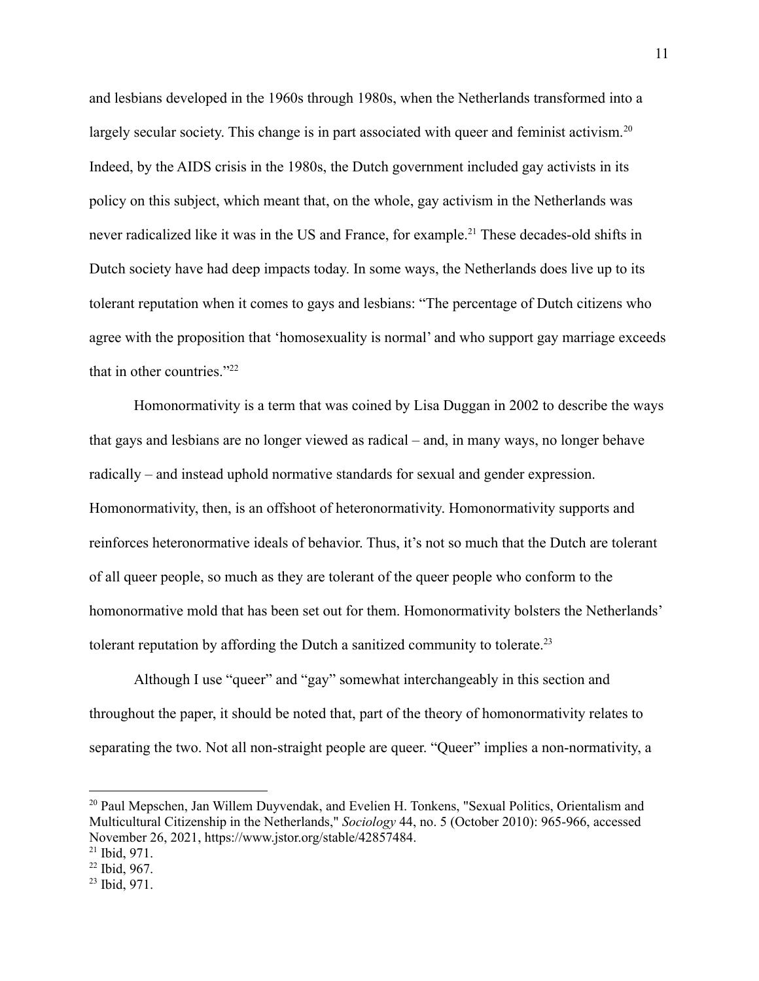and lesbians developed in the 1960s through 1980s, when the Netherlands transformed into a largely secular society. This change is in part associated with queer and feminist activism.<sup>20</sup> Indeed, by the AIDS crisis in the 1980s, the Dutch government included gay activists in its policy on this subject, which meant that, on the whole, gay activism in the Netherlands was never radicalized like it was in the US and France, for example.<sup>21</sup> These decades-old shifts in Dutch society have had deep impacts today. In some ways, the Netherlands does live up to its tolerant reputation when it comes to gays and lesbians: "The percentage of Dutch citizens who agree with the proposition that 'homosexuality is normal' and who support gay marriage exceeds that in other countries."<sup>22</sup>

Homonormativity is a term that was coined by Lisa Duggan in 2002 to describe the ways that gays and lesbians are no longer viewed as radical – and, in many ways, no longer behave radically – and instead uphold normative standards for sexual and gender expression. Homonormativity, then, is an offshoot of heteronormativity. Homonormativity supports and reinforces heteronormative ideals of behavior. Thus, it's not so much that the Dutch are tolerant of all queer people, so much as they are tolerant of the queer people who conform to the homonormative mold that has been set out for them. Homonormativity bolsters the Netherlands' tolerant reputation by affording the Dutch a sanitized community to tolerate.<sup>23</sup>

Although I use "queer" and "gay" somewhat interchangeably in this section and throughout the paper, it should be noted that, part of the theory of homonormativity relates to separating the two. Not all non-straight people are queer. "Queer" implies a non-normativity, a

<sup>&</sup>lt;sup>20</sup> Paul Mepschen, Jan Willem Duyvendak, and Evelien H. Tonkens, "Sexual Politics, Orientalism and Multicultural Citizenship in the Netherlands," *Sociology* 44, no. 5 (October 2010): 965-966, accessed November 26, 2021, https://www.jstor.org/stable/42857484.

 $21$  Ibid, 971.

<sup>22</sup> Ibid, 967.

<sup>23</sup> Ibid, 971.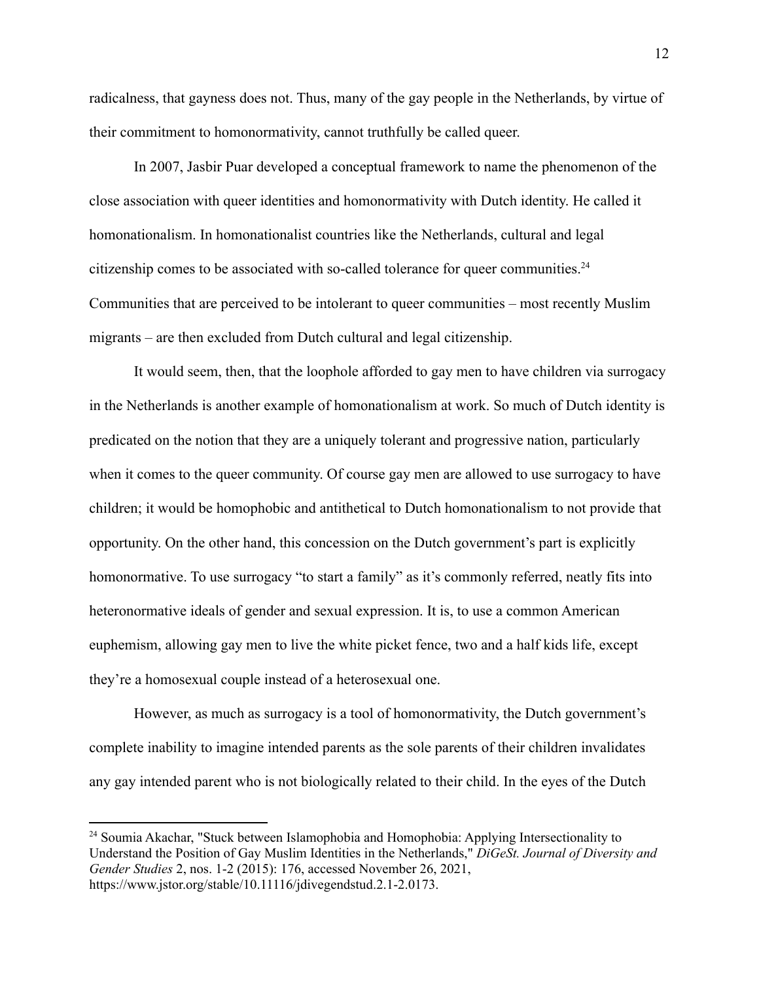radicalness, that gayness does not. Thus, many of the gay people in the Netherlands, by virtue of their commitment to homonormativity, cannot truthfully be called queer.

In 2007, Jasbir Puar developed a conceptual framework to name the phenomenon of the close association with queer identities and homonormativity with Dutch identity. He called it homonationalism. In homonationalist countries like the Netherlands, cultural and legal citizenship comes to be associated with so-called tolerance for queer communities.<sup>24</sup> Communities that are perceived to be intolerant to queer communities – most recently Muslim migrants – are then excluded from Dutch cultural and legal citizenship.

It would seem, then, that the loophole afforded to gay men to have children via surrogacy in the Netherlands is another example of homonationalism at work. So much of Dutch identity is predicated on the notion that they are a uniquely tolerant and progressive nation, particularly when it comes to the queer community. Of course gay men are allowed to use surrogacy to have children; it would be homophobic and antithetical to Dutch homonationalism to not provide that opportunity. On the other hand, this concession on the Dutch government's part is explicitly homonormative. To use surrogacy "to start a family" as it's commonly referred, neatly fits into heteronormative ideals of gender and sexual expression. It is, to use a common American euphemism, allowing gay men to live the white picket fence, two and a half kids life, except they're a homosexual couple instead of a heterosexual one.

However, as much as surrogacy is a tool of homonormativity, the Dutch government's complete inability to imagine intended parents as the sole parents of their children invalidates any gay intended parent who is not biologically related to their child. In the eyes of the Dutch

<sup>&</sup>lt;sup>24</sup> Soumia Akachar, "Stuck between Islamophobia and Homophobia: Applying Intersectionality to Understand the Position of Gay Muslim Identities in the Netherlands," *DiGeSt. Journal of Diversity and Gender Studies* 2, nos. 1-2 (2015): 176, accessed November 26, 2021, https://www.jstor.org/stable/10.11116/jdivegendstud.2.1-2.0173.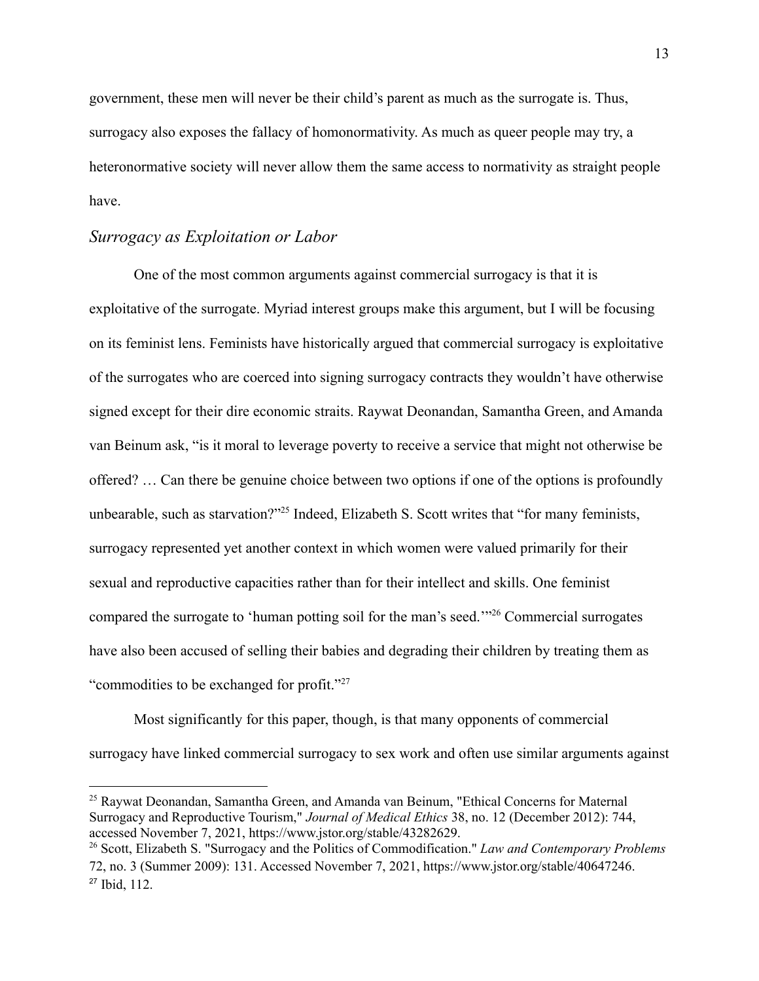government, these men will never be their child's parent as much as the surrogate is. Thus, surrogacy also exposes the fallacy of homonormativity. As much as queer people may try, a heteronormative society will never allow them the same access to normativity as straight people have.

### <span id="page-14-0"></span>*Surrogacy as Exploitation or Labor*

One of the most common arguments against commercial surrogacy is that it is exploitative of the surrogate. Myriad interest groups make this argument, but I will be focusing on its feminist lens. Feminists have historically argued that commercial surrogacy is exploitative of the surrogates who are coerced into signing surrogacy contracts they wouldn't have otherwise signed except for their dire economic straits. Raywat Deonandan, Samantha Green, and Amanda van Beinum ask, "is it moral to leverage poverty to receive a service that might not otherwise be offered? … Can there be genuine choice between two options if one of the options is profoundly unbearable, such as starvation?"<sup>25</sup> Indeed, Elizabeth S. Scott writes that "for many feminists, surrogacy represented yet another context in which women were valued primarily for their sexual and reproductive capacities rather than for their intellect and skills. One feminist compared the surrogate to 'human potting soil for the man's seed.'"<sup>26</sup> Commercial surrogates have also been accused of selling their babies and degrading their children by treating them as "commodities to be exchanged for profit."<sup>27</sup>

Most significantly for this paper, though, is that many opponents of commercial surrogacy have linked commercial surrogacy to sex work and often use similar arguments against

<sup>25</sup> Raywat Deonandan, Samantha Green, and Amanda van Beinum, "Ethical Concerns for Maternal Surrogacy and Reproductive Tourism," *Journal of Medical Ethics* 38, no. 12 (December 2012): 744, accessed November 7, 2021, https://www.jstor.org/stable/43282629.

<sup>27</sup> Ibid, 112. <sup>26</sup> Scott, Elizabeth S. "Surrogacy and the Politics of Commodification." *Law and Contemporary Problems* 72, no. 3 (Summer 2009): 131. Accessed November 7, 2021, https://www.jstor.org/stable/40647246.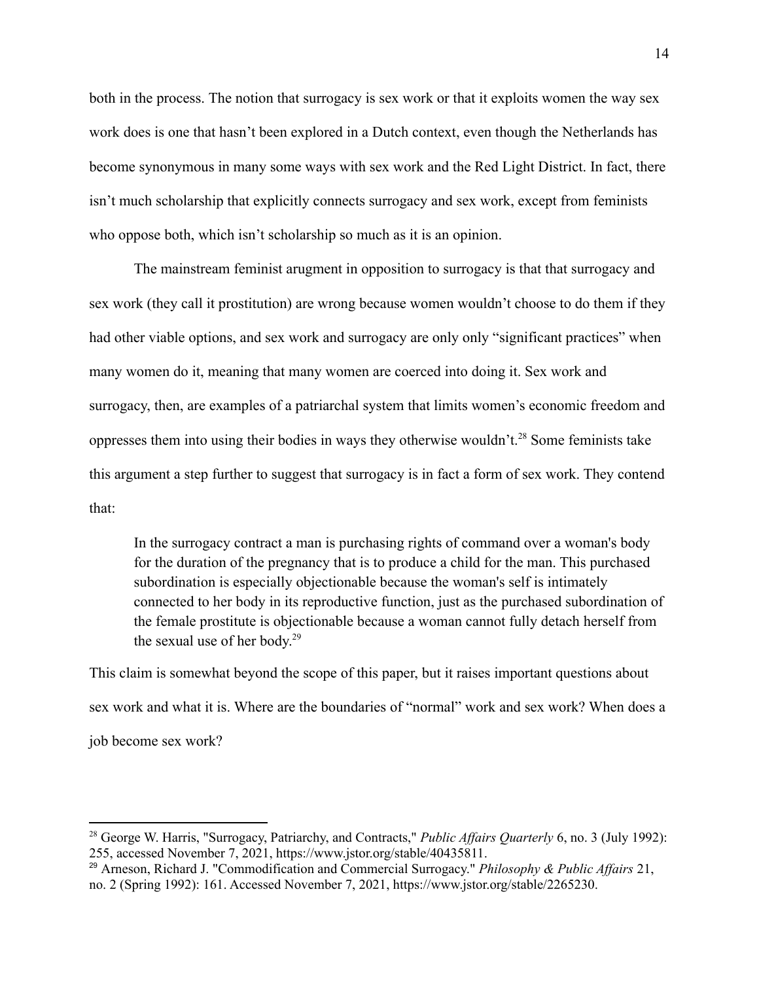both in the process. The notion that surrogacy is sex work or that it exploits women the way sex work does is one that hasn't been explored in a Dutch context, even though the Netherlands has become synonymous in many some ways with sex work and the Red Light District. In fact, there isn't much scholarship that explicitly connects surrogacy and sex work, except from feminists who oppose both, which isn't scholarship so much as it is an opinion.

The mainstream feminist arugment in opposition to surrogacy is that that surrogacy and sex work (they call it prostitution) are wrong because women wouldn't choose to do them if they had other viable options, and sex work and surrogacy are only only "significant practices" when many women do it, meaning that many women are coerced into doing it. Sex work and surrogacy, then, are examples of a patriarchal system that limits women's economic freedom and oppresses them into using their bodies in ways they otherwise wouldn't.<sup>28</sup> Some feminists take this argument a step further to suggest that surrogacy is in fact a form of sex work. They contend that:

In the surrogacy contract a man is purchasing rights of command over a woman's body for the duration of the pregnancy that is to produce a child for the man. This purchased subordination is especially objectionable because the woman's self is intimately connected to her body in its reproductive function, just as the purchased subordination of the female prostitute is objectionable because a woman cannot fully detach herself from the sexual use of her body. 29

This claim is somewhat beyond the scope of this paper, but it raises important questions about sex work and what it is. Where are the boundaries of "normal" work and sex work? When does a job become sex work?

<sup>&</sup>lt;sup>28</sup> George W. Harris, "Surrogacy, Patriarchy, and Contracts," *Public Affairs Quarterly* 6, no. 3 (July 1992): 255, accessed November 7, 2021, https://www.jstor.org/stable/40435811.

<sup>29</sup> Arneson, Richard J. "Commodification and Commercial Surrogacy." *Philosophy & Public Af airs* 21, no. 2 (Spring 1992): 161. Accessed November 7, 2021, https://www.jstor.org/stable/2265230.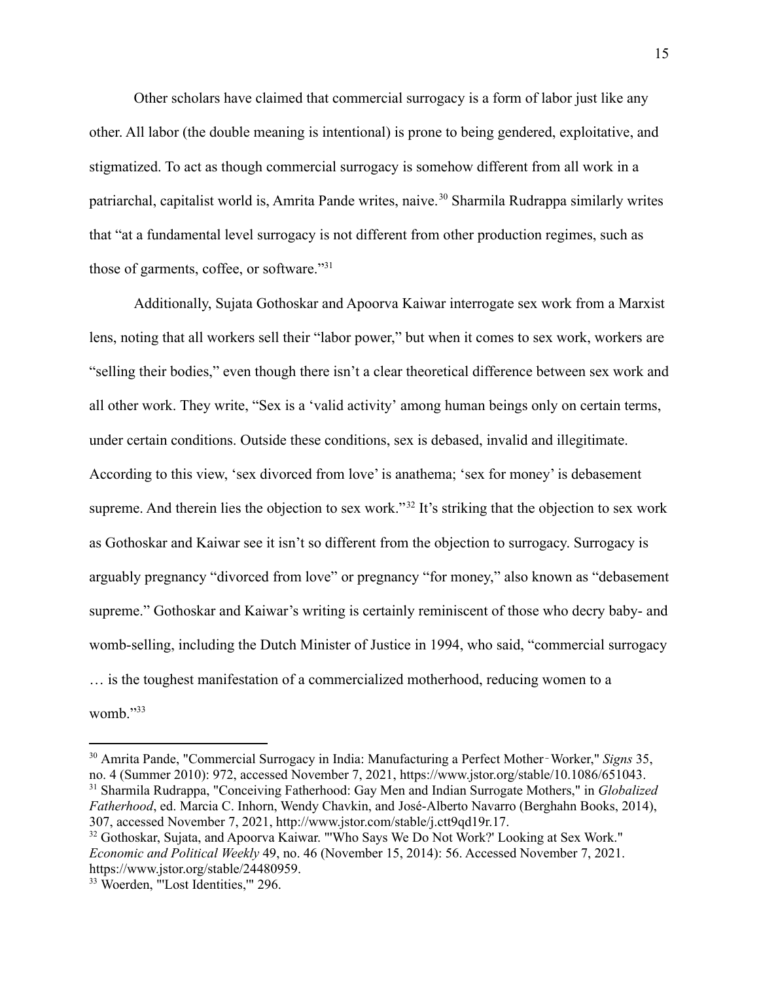Other scholars have claimed that commercial surrogacy is a form of labor just like any other. All labor (the double meaning is intentional) is prone to being gendered, exploitative, and stigmatized. To act as though commercial surrogacy is somehow different from all work in a patriarchal, capitalist world is, Amrita Pande writes, naive.<sup>30</sup> Sharmila Rudrappa similarly writes that "at a fundamental level surrogacy is not different from other production regimes, such as those of garments, coffee, or software."<sup>31</sup>

Additionally, Sujata Gothoskar and Apoorva Kaiwar interrogate sex work from a Marxist lens, noting that all workers sell their "labor power," but when it comes to sex work, workers are "selling their bodies," even though there isn't a clear theoretical difference between sex work and all other work. They write, "Sex is a 'valid activity' among human beings only on certain terms, under certain conditions. Outside these conditions, sex is debased, invalid and illegitimate. According to this view, 'sex divorced from love' is anathema; 'sex for money' is debasement supreme. And therein lies the objection to sex work."<sup>32</sup> It's striking that the objection to sex work as Gothoskar and Kaiwar see it isn't so different from the objection to surrogacy. Surrogacy is arguably pregnancy "divorced from love" or pregnancy "for money," also known as "debasement supreme." Gothoskar and Kaiwar's writing is certainly reminiscent of those who decry baby- and womb-selling, including the Dutch Minister of Justice in 1994, who said, "commercial surrogacy … is the toughest manifestation of a commercialized motherhood, reducing women to a womb."<sup>33</sup>

<sup>31</sup> Sharmila Rudrappa, "Conceiving Fatherhood: Gay Men and Indian Surrogate Mothers," in *Globalized Fatherhood*, ed. Marcia C. Inhorn, Wendy Chavkin, and José-Alberto Navarro (Berghahn Books, 2014), 307, accessed November 7, 2021, http://www.jstor.com/stable/j.ctt9qd19r.17. <sup>30</sup> Amrita Pande, "Commercial Surrogacy in India: Manufacturing a Perfect Mother‐Worker," *Signs* 35, no. 4 (Summer 2010): 972, accessed November 7, 2021, https://www.jstor.org/stable/10.1086/651043.

<sup>&</sup>lt;sup>32</sup> Gothoskar, Sujata, and Apoorva Kaiwar. "'Who Says We Do Not Work?' Looking at Sex Work." *Economic and Political Weekly* 49, no. 46 (November 15, 2014): 56. Accessed November 7, 2021. https://www.jstor.org/stable/24480959.

<sup>33</sup> Woerden, "'Lost Identities,'" 296.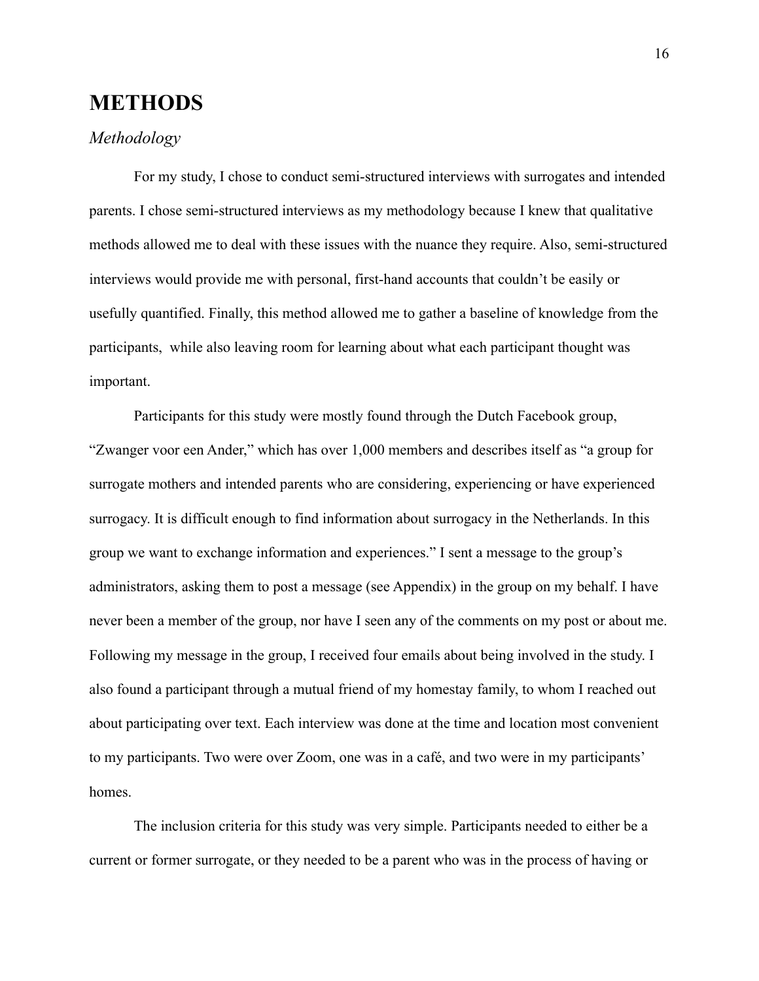# <span id="page-17-0"></span>**METHODS**

# *Methodology*

For my study, I chose to conduct semi-structured interviews with surrogates and intended parents. I chose semi-structured interviews as my methodology because I knew that qualitative methods allowed me to deal with these issues with the nuance they require. Also, semi-structured interviews would provide me with personal, first-hand accounts that couldn't be easily or usefully quantified. Finally, this method allowed me to gather a baseline of knowledge from the participants, while also leaving room for learning about what each participant thought was important.

Participants for this study were mostly found through the Dutch Facebook group, "Zwanger voor een Ander," which has over 1,000 members and describes itself as "a group for surrogate mothers and intended parents who are considering, experiencing or have experienced surrogacy. It is difficult enough to find information about surrogacy in the Netherlands. In this group we want to exchange information and experiences." I sent a message to the group's administrators, asking them to post a message (see Appendix) in the group on my behalf. I have never been a member of the group, nor have I seen any of the comments on my post or about me. Following my message in the group, I received four emails about being involved in the study. I also found a participant through a mutual friend of my homestay family, to whom I reached out about participating over text. Each interview was done at the time and location most convenient to my participants. Two were over Zoom, one was in a café, and two were in my participants' homes.

The inclusion criteria for this study was very simple. Participants needed to either be a current or former surrogate, or they needed to be a parent who was in the process of having or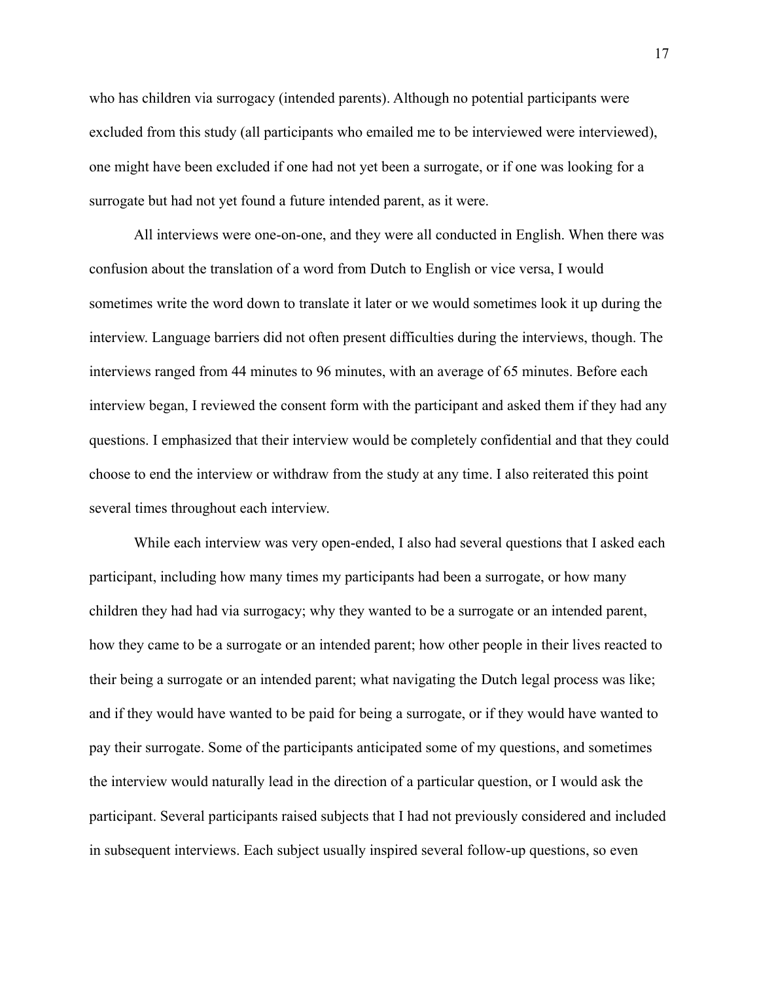who has children via surrogacy (intended parents). Although no potential participants were excluded from this study (all participants who emailed me to be interviewed were interviewed), one might have been excluded if one had not yet been a surrogate, or if one was looking for a surrogate but had not yet found a future intended parent, as it were.

All interviews were one-on-one, and they were all conducted in English. When there was confusion about the translation of a word from Dutch to English or vice versa, I would sometimes write the word down to translate it later or we would sometimes look it up during the interview. Language barriers did not often present difficulties during the interviews, though. The interviews ranged from 44 minutes to 96 minutes, with an average of 65 minutes. Before each interview began, I reviewed the consent form with the participant and asked them if they had any questions. I emphasized that their interview would be completely confidential and that they could choose to end the interview or withdraw from the study at any time. I also reiterated this point several times throughout each interview.

While each interview was very open-ended, I also had several questions that I asked each participant, including how many times my participants had been a surrogate, or how many children they had had via surrogacy; why they wanted to be a surrogate or an intended parent, how they came to be a surrogate or an intended parent; how other people in their lives reacted to their being a surrogate or an intended parent; what navigating the Dutch legal process was like; and if they would have wanted to be paid for being a surrogate, or if they would have wanted to pay their surrogate. Some of the participants anticipated some of my questions, and sometimes the interview would naturally lead in the direction of a particular question, or I would ask the participant. Several participants raised subjects that I had not previously considered and included in subsequent interviews. Each subject usually inspired several follow-up questions, so even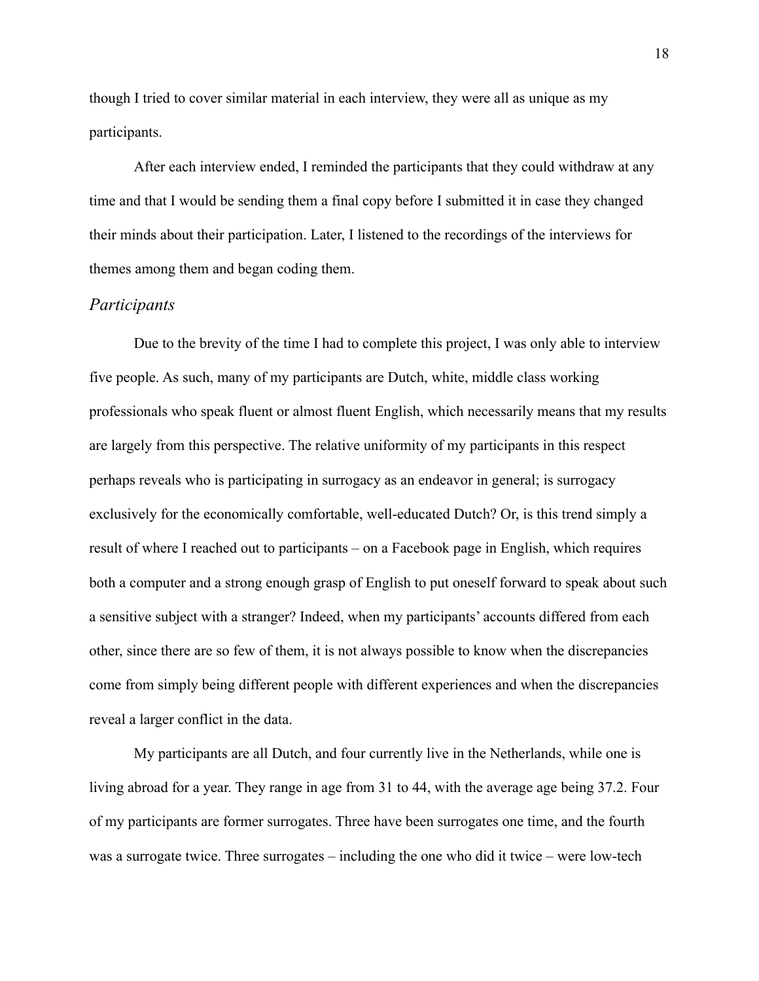though I tried to cover similar material in each interview, they were all as unique as my participants.

After each interview ended, I reminded the participants that they could withdraw at any time and that I would be sending them a final copy before I submitted it in case they changed their minds about their participation. Later, I listened to the recordings of the interviews for themes among them and began coding them.

#### <span id="page-19-0"></span>*Participants*

Due to the brevity of the time I had to complete this project, I was only able to interview five people. As such, many of my participants are Dutch, white, middle class working professionals who speak fluent or almost fluent English, which necessarily means that my results are largely from this perspective. The relative uniformity of my participants in this respect perhaps reveals who is participating in surrogacy as an endeavor in general; is surrogacy exclusively for the economically comfortable, well-educated Dutch? Or, is this trend simply a result of where I reached out to participants – on a Facebook page in English, which requires both a computer and a strong enough grasp of English to put oneself forward to speak about such a sensitive subject with a stranger? Indeed, when my participants' accounts differed from each other, since there are so few of them, it is not always possible to know when the discrepancies come from simply being different people with different experiences and when the discrepancies reveal a larger conflict in the data.

My participants are all Dutch, and four currently live in the Netherlands, while one is living abroad for a year. They range in age from 31 to 44, with the average age being 37.2. Four of my participants are former surrogates. Three have been surrogates one time, and the fourth was a surrogate twice. Three surrogates – including the one who did it twice – were low-tech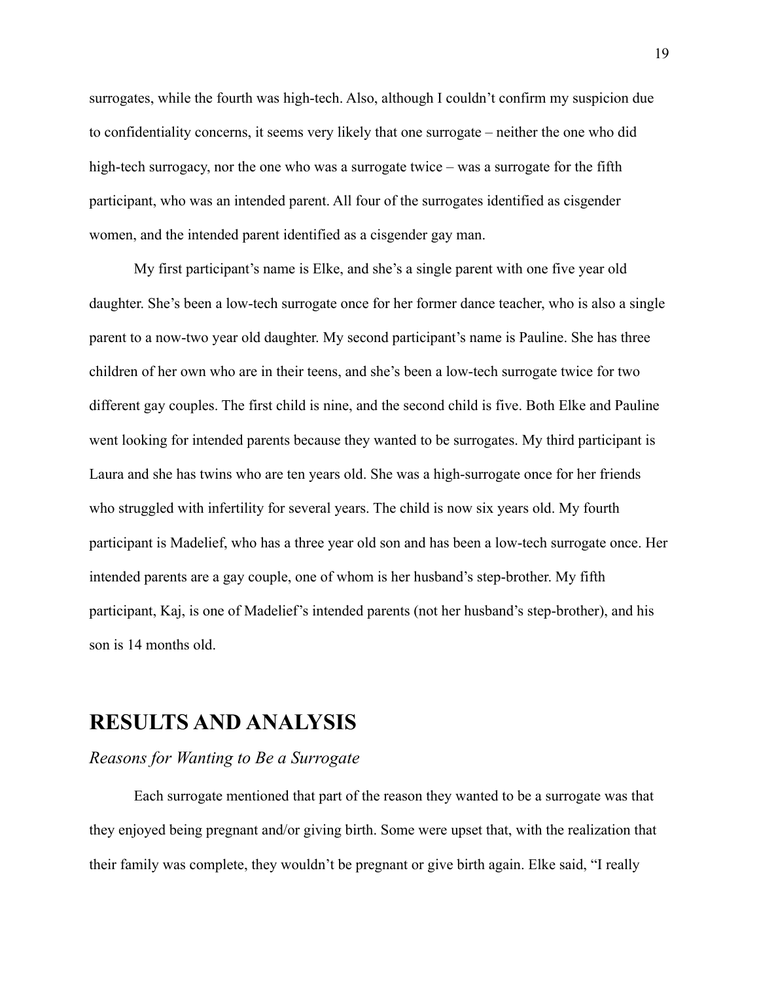surrogates, while the fourth was high-tech. Also, although I couldn't confirm my suspicion due to confidentiality concerns, it seems very likely that one surrogate – neither the one who did high-tech surrogacy, nor the one who was a surrogate twice – was a surrogate for the fifth participant, who was an intended parent. All four of the surrogates identified as cisgender women, and the intended parent identified as a cisgender gay man.

My first participant's name is Elke, and she's a single parent with one five year old daughter. She's been a low-tech surrogate once for her former dance teacher, who is also a single parent to a now-two year old daughter. My second participant's name is Pauline. She has three children of her own who are in their teens, and she's been a low-tech surrogate twice for two different gay couples. The first child is nine, and the second child is five. Both Elke and Pauline went looking for intended parents because they wanted to be surrogates. My third participant is Laura and she has twins who are ten years old. She was a high-surrogate once for her friends who struggled with infertility for several years. The child is now six years old. My fourth participant is Madelief, who has a three year old son and has been a low-tech surrogate once. Her intended parents are a gay couple, one of whom is her husband's step-brother. My fifth participant, Kaj, is one of Madelief's intended parents (not her husband's step-brother), and his son is 14 months old.

# <span id="page-20-0"></span>**RESULTS AND ANALYSIS**

#### <span id="page-20-1"></span>*Reasons for Wanting to Be a Surrogate*

Each surrogate mentioned that part of the reason they wanted to be a surrogate was that they enjoyed being pregnant and/or giving birth. Some were upset that, with the realization that their family was complete, they wouldn't be pregnant or give birth again. Elke said, "I really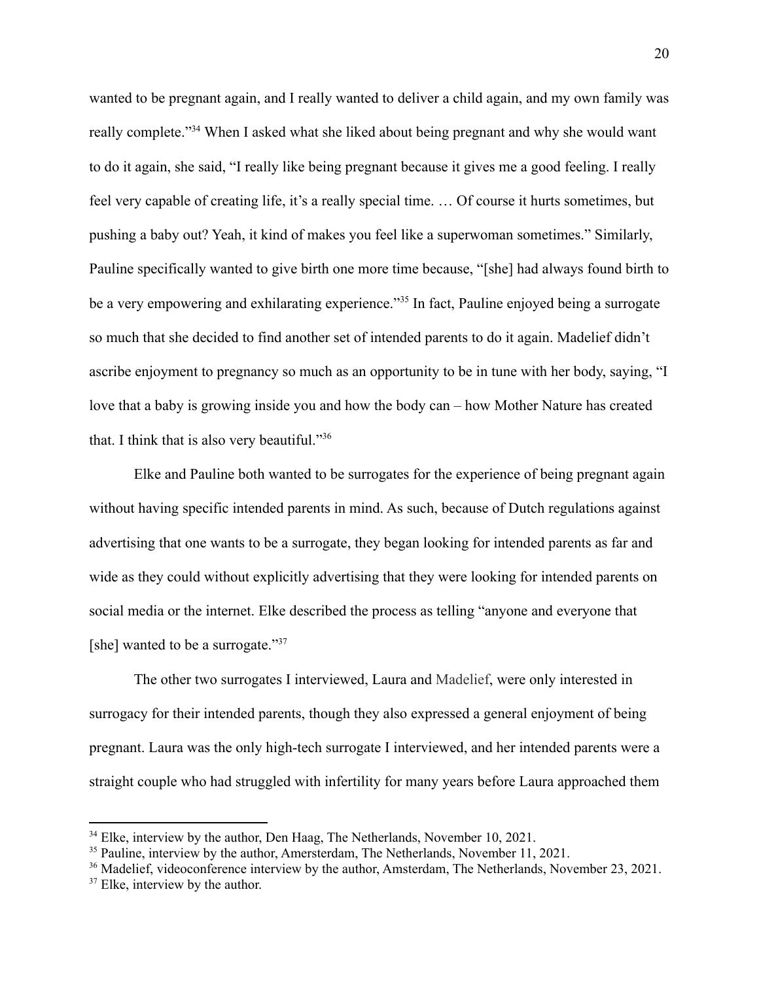wanted to be pregnant again, and I really wanted to deliver a child again, and my own family was really complete."<sup>34</sup> When I asked what she liked about being pregnant and why she would want to do it again, she said, "I really like being pregnant because it gives me a good feeling. I really feel very capable of creating life, it's a really special time. … Of course it hurts sometimes, but pushing a baby out? Yeah, it kind of makes you feel like a superwoman sometimes." Similarly, Pauline specifically wanted to give birth one more time because, "[she] had always found birth to be a very empowering and exhilarating experience."<sup>35</sup> In fact, Pauline enjoyed being a surrogate so much that she decided to find another set of intended parents to do it again. Madelief didn't ascribe enjoyment to pregnancy so much as an opportunity to be in tune with her body, saying, "I love that a baby is growing inside you and how the body can – how Mother Nature has created that. I think that is also very beautiful."<sup>36</sup>

Elke and Pauline both wanted to be surrogates for the experience of being pregnant again without having specific intended parents in mind. As such, because of Dutch regulations against advertising that one wants to be a surrogate, they began looking for intended parents as far and wide as they could without explicitly advertising that they were looking for intended parents on social media or the internet. Elke described the process as telling "anyone and everyone that [she] wanted to be a surrogate."<sup>37</sup>

The other two surrogates I interviewed, Laura and [Madelief,](https://nameberry.com/babyname/Madelief) were only interested in surrogacy for their intended parents, though they also expressed a general enjoyment of being pregnant. Laura was the only high-tech surrogate I interviewed, and her intended parents were a straight couple who had struggled with infertility for many years before Laura approached them

<sup>&</sup>lt;sup>34</sup> Elke, interview by the author, Den Haag, The Netherlands, November 10, 2021.

<sup>&</sup>lt;sup>35</sup> Pauline, interview by the author, Amersterdam, The Netherlands, November 11, 2021.

<sup>&</sup>lt;sup>36</sup> Madelief, videoconference interview by the author, Amsterdam, The Netherlands, November 23, 2021.

<sup>&</sup>lt;sup>37</sup> Elke, interview by the author.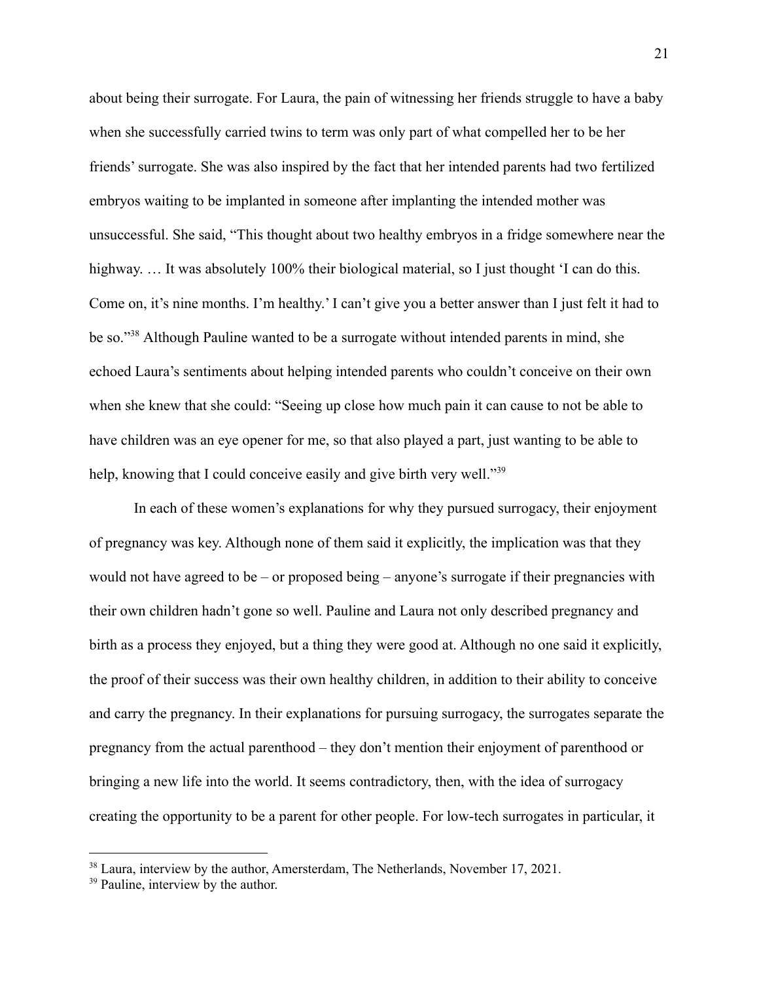about being their surrogate. For Laura, the pain of witnessing her friends struggle to have a baby when she successfully carried twins to term was only part of what compelled her to be her friends' surrogate. She was also inspired by the fact that her intended parents had two fertilized embryos waiting to be implanted in someone after implanting the intended mother was unsuccessful. She said, "This thought about two healthy embryos in a fridge somewhere near the highway. ... It was absolutely 100% their biological material, so I just thought 'I can do this. Come on, it's nine months. I'm healthy.' I can't give you a better answer than I just felt it had to be so."<sup>38</sup> Although Pauline wanted to be a surrogate without intended parents in mind, she echoed Laura's sentiments about helping intended parents who couldn't conceive on their own when she knew that she could: "Seeing up close how much pain it can cause to not be able to have children was an eye opener for me, so that also played a part, just wanting to be able to help, knowing that I could conceive easily and give birth very well."<sup>39</sup>

In each of these women's explanations for why they pursued surrogacy, their enjoyment of pregnancy was key. Although none of them said it explicitly, the implication was that they would not have agreed to be – or proposed being – anyone's surrogate if their pregnancies with their own children hadn't gone so well. Pauline and Laura not only described pregnancy and birth as a process they enjoyed, but a thing they were good at. Although no one said it explicitly, the proof of their success was their own healthy children, in addition to their ability to conceive and carry the pregnancy. In their explanations for pursuing surrogacy, the surrogates separate the pregnancy from the actual parenthood – they don't mention their enjoyment of parenthood or bringing a new life into the world. It seems contradictory, then, with the idea of surrogacy creating the opportunity to be a parent for other people. For low-tech surrogates in particular, it

<sup>&</sup>lt;sup>38</sup> Laura, interview by the author, Amersterdam, The Netherlands, November 17, 2021.

<sup>&</sup>lt;sup>39</sup> Pauline, interview by the author.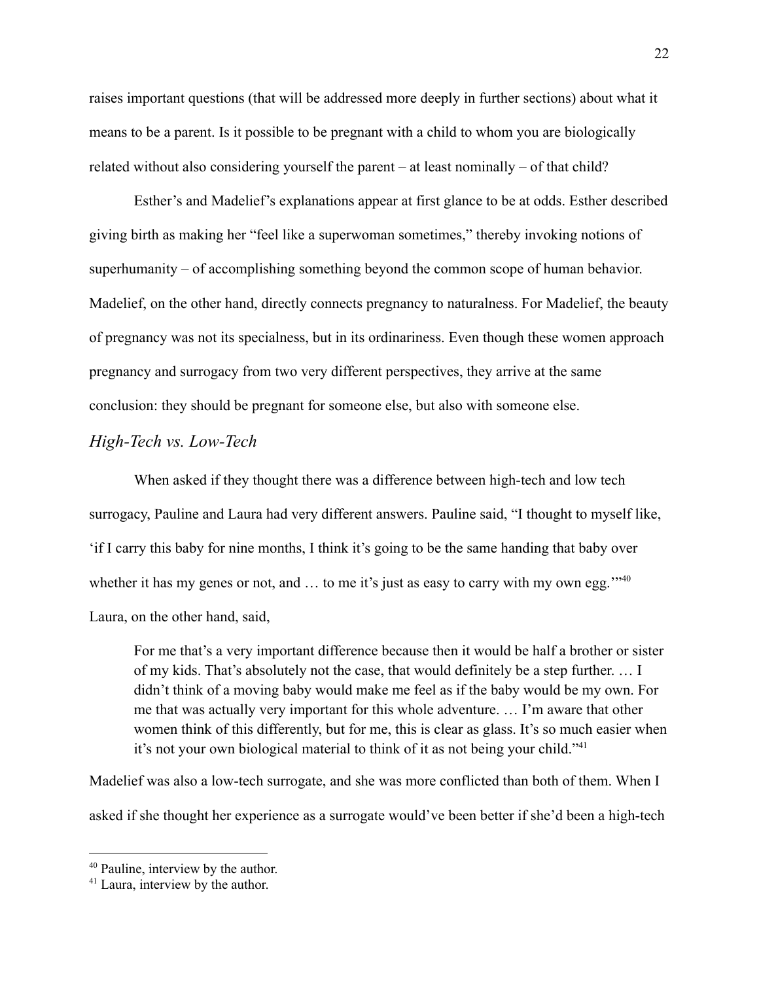raises important questions (that will be addressed more deeply in further sections) about what it means to be a parent. Is it possible to be pregnant with a child to whom you are biologically related without also considering yourself the parent – at least nominally – of that child?

Esther's and Madelief's explanations appear at first glance to be at odds. Esther described giving birth as making her "feel like a superwoman sometimes," thereby invoking notions of superhumanity – of accomplishing something beyond the common scope of human behavior. Madelief, on the other hand, directly connects pregnancy to naturalness. For Madelief, the beauty of pregnancy was not its specialness, but in its ordinariness. Even though these women approach pregnancy and surrogacy from two very different perspectives, they arrive at the same conclusion: they should be pregnant for someone else, but also with someone else.

### <span id="page-23-0"></span>*High-Tech vs. Low-Tech*

When asked if they thought there was a difference between high-tech and low tech surrogacy, Pauline and Laura had very different answers. Pauline said, "I thought to myself like, 'if I carry this baby for nine months, I think it's going to be the same handing that baby over whether it has my genes or not, and ... to me it's just as easy to carry with my own egg."<sup>40</sup> Laura, on the other hand, said,

For me that's a very important difference because then it would be half a brother or sister of my kids. That's absolutely not the case, that would definitely be a step further. … I didn't think of a moving baby would make me feel as if the baby would be my own. For me that was actually very important for this whole adventure. … I'm aware that other women think of this differently, but for me, this is clear as glass. It's so much easier when it's not your own biological material to think of it as not being your child."<sup>41</sup>

Madelief was also a low-tech surrogate, and she was more conflicted than both of them. When I asked if she thought her experience as a surrogate would've been better if she'd been a high-tech

<sup>40</sup> Pauline, interview by the author.

<sup>&</sup>lt;sup>41</sup> Laura, interview by the author.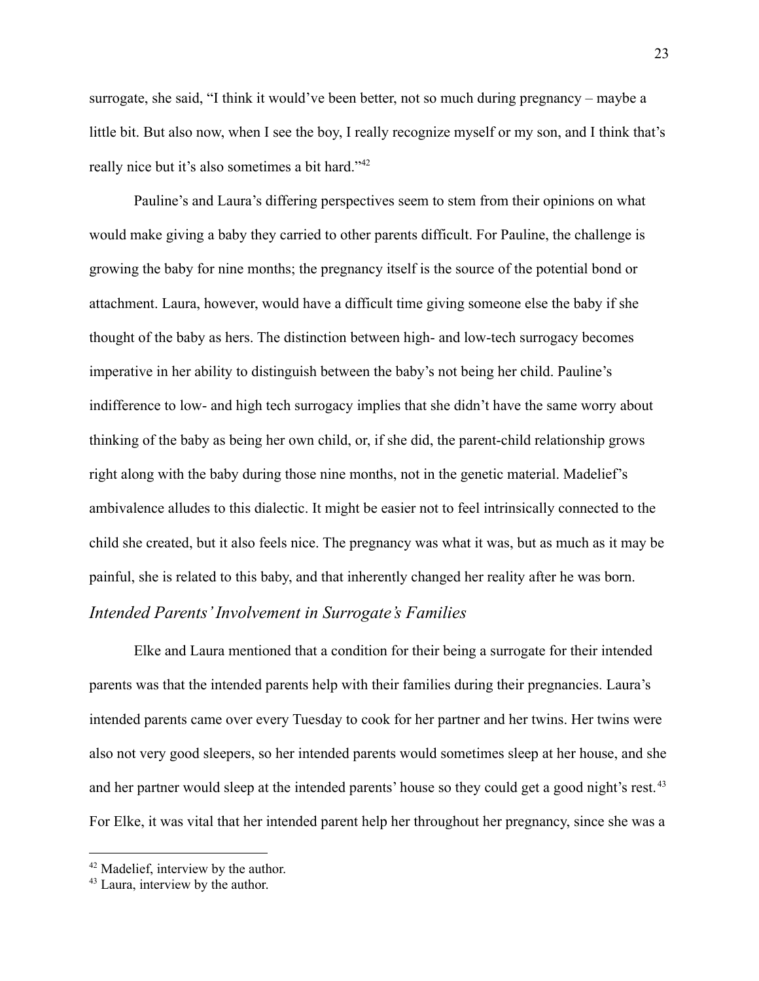surrogate, she said, "I think it would've been better, not so much during pregnancy – maybe a little bit. But also now, when I see the boy, I really recognize myself or my son, and I think that's really nice but it's also sometimes a bit hard."<sup>42</sup>

Pauline's and Laura's differing perspectives seem to stem from their opinions on what would make giving a baby they carried to other parents difficult. For Pauline, the challenge is growing the baby for nine months; the pregnancy itself is the source of the potential bond or attachment. Laura, however, would have a difficult time giving someone else the baby if she thought of the baby as hers. The distinction between high- and low-tech surrogacy becomes imperative in her ability to distinguish between the baby's not being her child. Pauline's indifference to low- and high tech surrogacy implies that she didn't have the same worry about thinking of the baby as being her own child, or, if she did, the parent-child relationship grows right along with the baby during those nine months, not in the genetic material. Madelief's ambivalence alludes to this dialectic. It might be easier not to feel intrinsically connected to the child she created, but it also feels nice. The pregnancy was what it was, but as much as it may be painful, she is related to this baby, and that inherently changed her reality after he was born.

# <span id="page-24-0"></span>*Intended Parents'Involvement in Surrogate's Families*

Elke and Laura mentioned that a condition for their being a surrogate for their intended parents was that the intended parents help with their families during their pregnancies. Laura's intended parents came over every Tuesday to cook for her partner and her twins. Her twins were also not very good sleepers, so her intended parents would sometimes sleep at her house, and she and her partner would sleep at the intended parents' house so they could get a good night's rest.<sup>43</sup> For Elke, it was vital that her intended parent help her throughout her pregnancy, since she was a

<sup>42</sup> Madelief, interview by the author.

<sup>43</sup> Laura, interview by the author.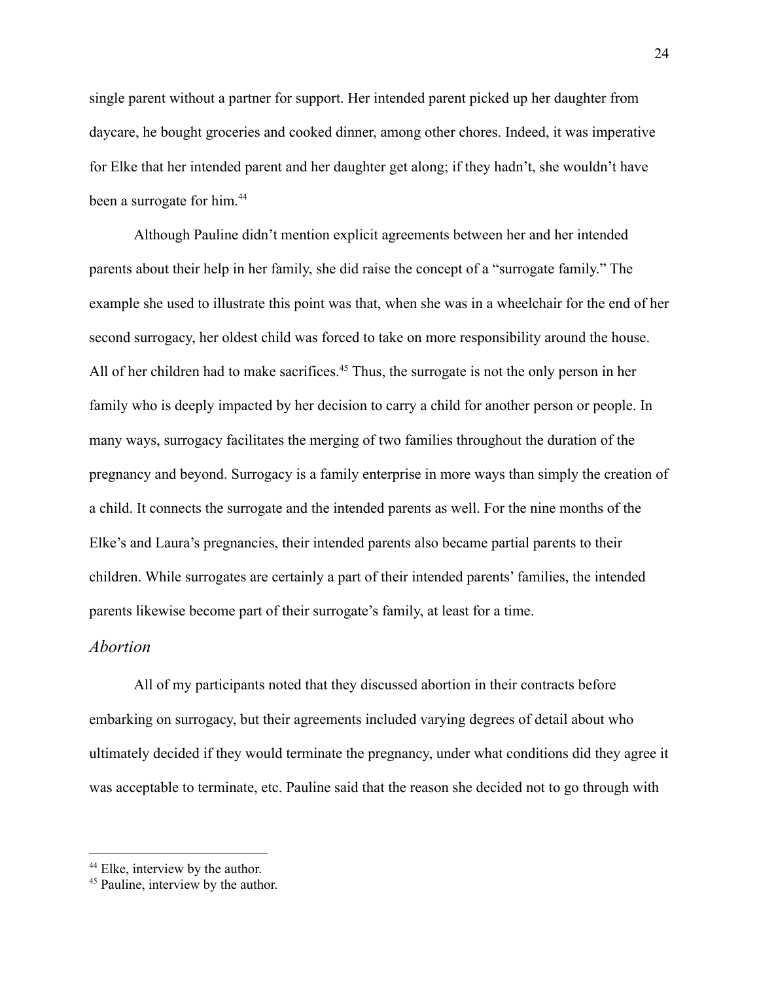single parent without a partner for support. Her intended parent picked up her daughter from daycare, he bought groceries and cooked dinner, among other chores. Indeed, it was imperative for Elke that her intended parent and her daughter get along; if they hadn't, she wouldn't have been a surrogate for him.<sup>44</sup>

Although Pauline didn't mention explicit agreements between her and her intended parents about their help in her family, she did raise the concept of a "surrogate family." The example she used to illustrate this point was that, when she was in a wheelchair for the end of her second surrogacy, her oldest child was forced to take on more responsibility around the house. All of her children had to make sacrifices.<sup>45</sup> Thus, the surrogate is not the only person in her family who is deeply impacted by her decision to carry a child for another person or people. In many ways, surrogacy facilitates the merging of two families throughout the duration of the pregnancy and beyond. Surrogacy is a family enterprise in more ways than simply the creation of a child. It connects the surrogate and the intended parents as well. For the nine months of the Elke's and Laura's pregnancies, their intended parents also became partial parents to their children. While surrogates are certainly a part of their intended parents' families, the intended parents likewise become part of their surrogate's family, at least for a time.

#### <span id="page-25-0"></span>*Abortion*

All of my participants noted that they discussed abortion in their contracts before embarking on surrogacy, but their agreements included varying degrees of detail about who ultimately decided if they would terminate the pregnancy, under what conditions did they agree it was acceptable to terminate, etc. Pauline said that the reason she decided not to go through with

<sup>&</sup>lt;sup>44</sup> Elke, interview by the author.

<sup>&</sup>lt;sup>45</sup> Pauline, interview by the author.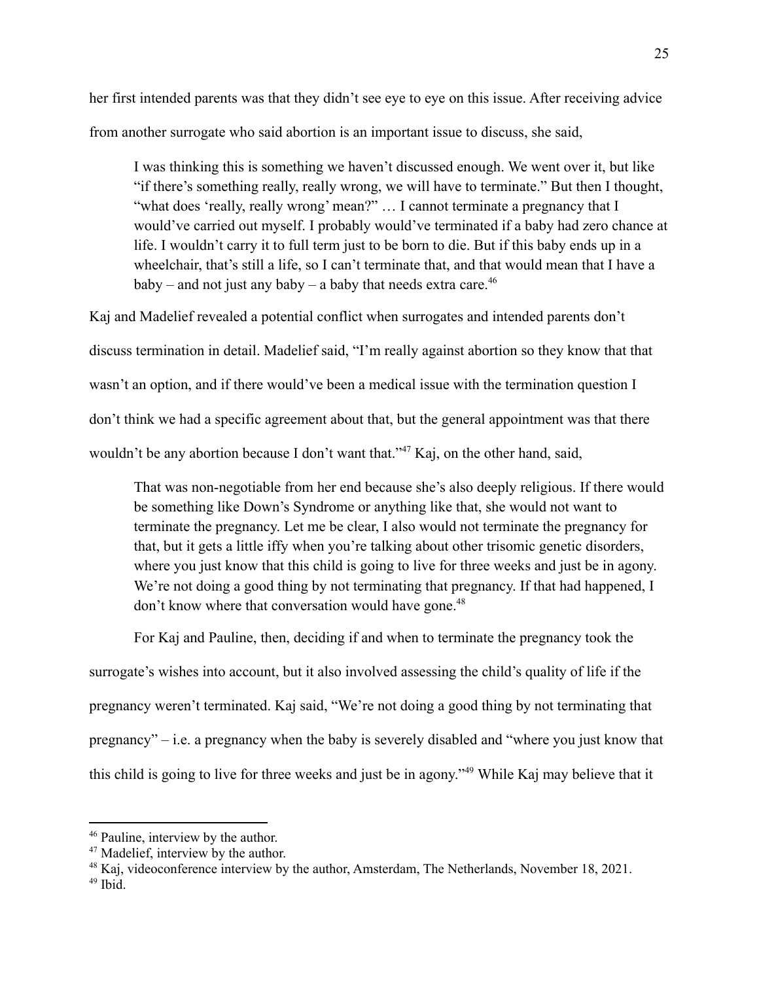her first intended parents was that they didn't see eye to eye on this issue. After receiving advice from another surrogate who said abortion is an important issue to discuss, she said,

I was thinking this is something we haven't discussed enough. We went over it, but like "if there's something really, really wrong, we will have to terminate." But then I thought, "what does 'really, really wrong' mean?" … I cannot terminate a pregnancy that I would've carried out myself. I probably would've terminated if a baby had zero chance at life. I wouldn't carry it to full term just to be born to die. But if this baby ends up in a wheelchair, that's still a life, so I can't terminate that, and that would mean that I have a baby – and not just any baby – a baby that needs extra care.<sup>46</sup>

Kaj and Madelief revealed a potential conflict when surrogates and intended parents don't discuss termination in detail. Madelief said, "I'm really against abortion so they know that that wasn't an option, and if there would've been a medical issue with the termination question I don't think we had a specific agreement about that, but the general appointment was that there wouldn't be any abortion because I don't want that."<sup>47</sup> Kaj, on the other hand, said,

That was non-negotiable from her end because she's also deeply religious. If there would be something like Down's Syndrome or anything like that, she would not want to terminate the pregnancy. Let me be clear, I also would not terminate the pregnancy for that, but it gets a little iffy when you're talking about other trisomic genetic disorders, where you just know that this child is going to live for three weeks and just be in agony. We're not doing a good thing by not terminating that pregnancy. If that had happened, I don't know where that conversation would have gone.<sup>48</sup>

For Kaj and Pauline, then, deciding if and when to terminate the pregnancy took the surrogate's wishes into account, but it also involved assessing the child's quality of life if the pregnancy weren't terminated. Kaj said, "We're not doing a good thing by not terminating that pregnancy" – i.e. a pregnancy when the baby is severely disabled and "where you just know that this child is going to live for three weeks and just be in agony."<sup>49</sup> While Kaj may believe that it

<sup>46</sup> Pauline, interview by the author.

<sup>47</sup> Madelief, interview by the author.

<sup>&</sup>lt;sup>48</sup> Kaj, videoconference interview by the author, Amsterdam, The Netherlands, November 18, 2021.

<sup>49</sup> Ibid.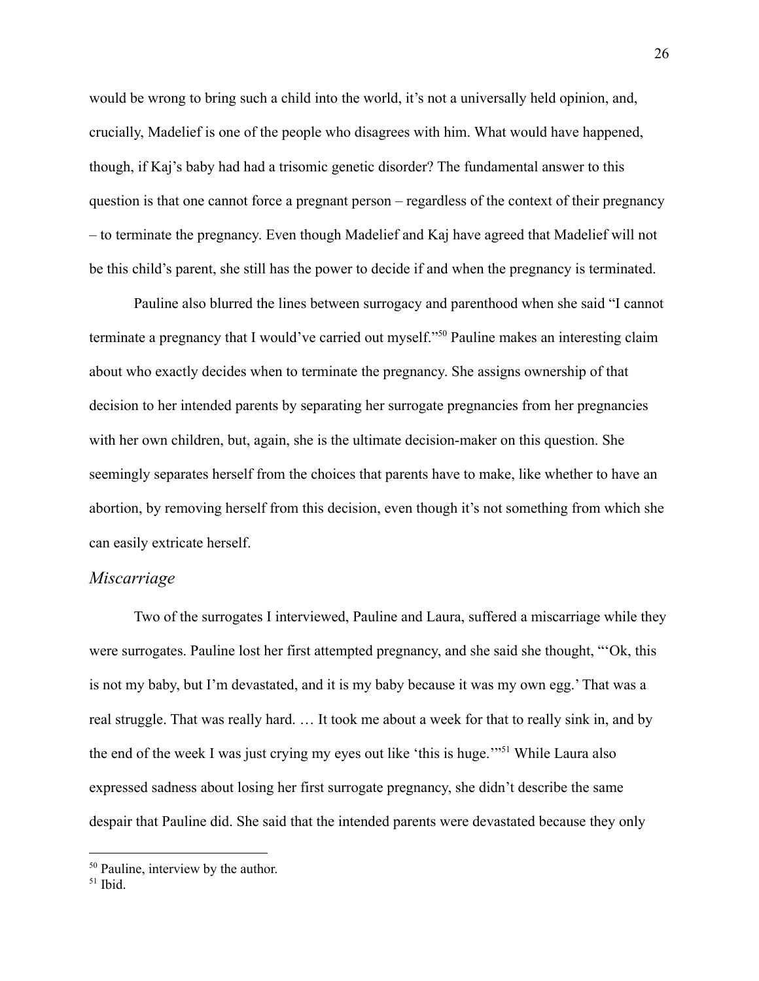would be wrong to bring such a child into the world, it's not a universally held opinion, and, crucially, Madelief is one of the people who disagrees with him. What would have happened, though, if Kaj's baby had had a trisomic genetic disorder? The fundamental answer to this question is that one cannot force a pregnant person – regardless of the context of their pregnancy – to terminate the pregnancy. Even though Madelief and Kaj have agreed that Madelief will not be this child's parent, she still has the power to decide if and when the pregnancy is terminated.

Pauline also blurred the lines between surrogacy and parenthood when she said "I cannot terminate a pregnancy that I would've carried out myself."<sup>50</sup> Pauline makes an interesting claim about who exactly decides when to terminate the pregnancy. She assigns ownership of that decision to her intended parents by separating her surrogate pregnancies from her pregnancies with her own children, but, again, she is the ultimate decision-maker on this question. She seemingly separates herself from the choices that parents have to make, like whether to have an abortion, by removing herself from this decision, even though it's not something from which she can easily extricate herself.

### <span id="page-27-0"></span>*Miscarriage*

Two of the surrogates I interviewed, Pauline and Laura, suffered a miscarriage while they were surrogates. Pauline lost her first attempted pregnancy, and she said she thought, "'Ok, this is not my baby, but I'm devastated, and it is my baby because it was my own egg.' That was a real struggle. That was really hard. … It took me about a week for that to really sink in, and by the end of the week I was just crying my eyes out like 'this is huge.'"<sup>51</sup> While Laura also expressed sadness about losing her first surrogate pregnancy, she didn't describe the same despair that Pauline did. She said that the intended parents were devastated because they only

<sup>&</sup>lt;sup>50</sup> Pauline, interview by the author.

<sup>51</sup> Ibid.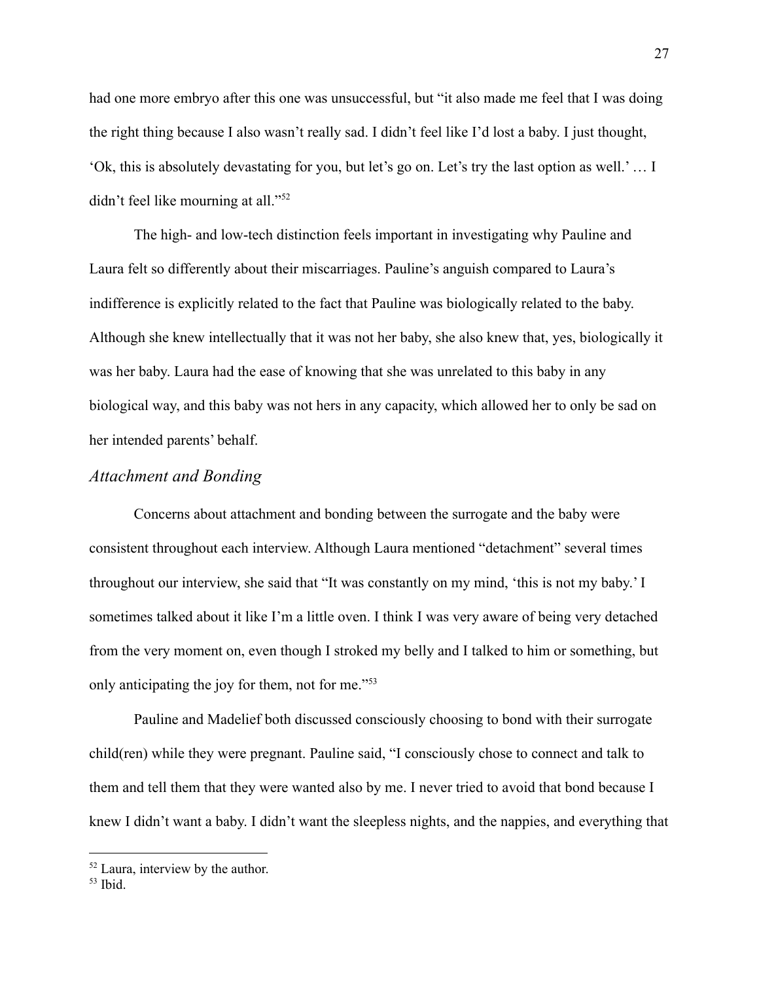had one more embryo after this one was unsuccessful, but "it also made me feel that I was doing the right thing because I also wasn't really sad. I didn't feel like I'd lost a baby. I just thought, 'Ok, this is absolutely devastating for you, but let's go on. Let's try the last option as well.' … I didn't feel like mourning at all."<sup>52</sup>

The high- and low-tech distinction feels important in investigating why Pauline and Laura felt so differently about their miscarriages. Pauline's anguish compared to Laura's indifference is explicitly related to the fact that Pauline was biologically related to the baby. Although she knew intellectually that it was not her baby, she also knew that, yes, biologically it was her baby. Laura had the ease of knowing that she was unrelated to this baby in any biological way, and this baby was not hers in any capacity, which allowed her to only be sad on her intended parents' behalf.

# <span id="page-28-0"></span>*Attachment and Bonding*

Concerns about attachment and bonding between the surrogate and the baby were consistent throughout each interview. Although Laura mentioned "detachment" several times throughout our interview, she said that "It was constantly on my mind, 'this is not my baby.' I sometimes talked about it like I'm a little oven. I think I was very aware of being very detached from the very moment on, even though I stroked my belly and I talked to him or something, but only anticipating the joy for them, not for me."<sup>53</sup>

Pauline and Madelief both discussed consciously choosing to bond with their surrogate child(ren) while they were pregnant. Pauline said, "I consciously chose to connect and talk to them and tell them that they were wanted also by me. I never tried to avoid that bond because I knew I didn't want a baby. I didn't want the sleepless nights, and the nappies, and everything that

<sup>52</sup> Laura, interview by the author.

<sup>53</sup> Ibid.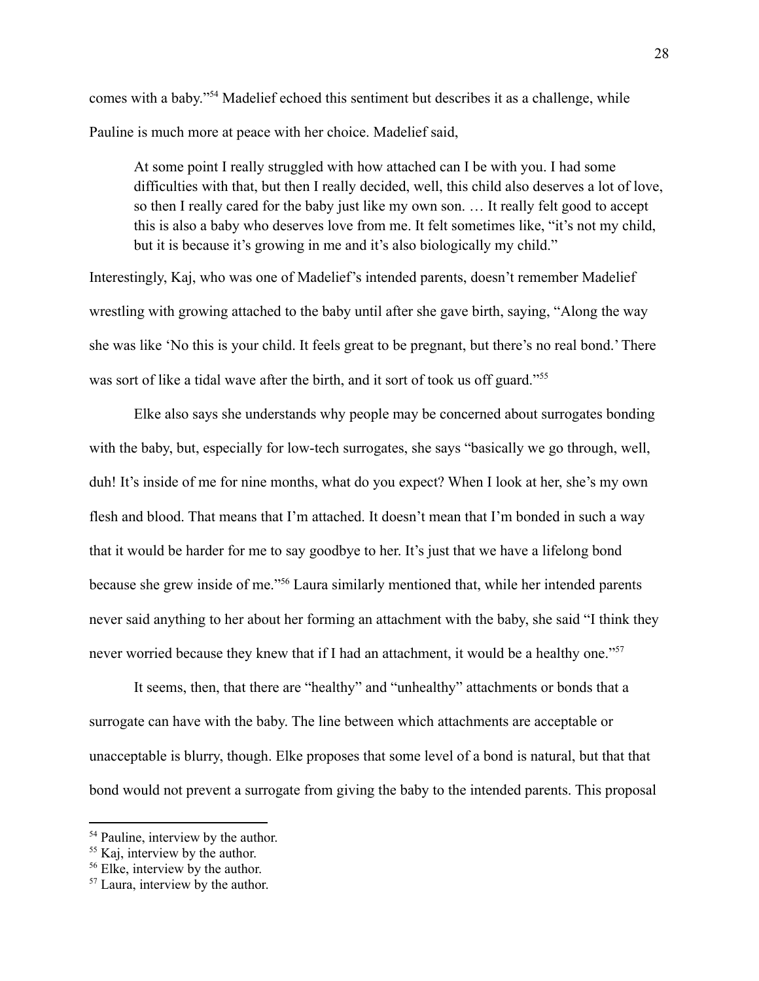comes with a baby."<sup>54</sup> Madelief echoed this sentiment but describes it as a challenge, while Pauline is much more at peace with her choice. Madelief said,

At some point I really struggled with how attached can I be with you. I had some difficulties with that, but then I really decided, well, this child also deserves a lot of love, so then I really cared for the baby just like my own son. … It really felt good to accept this is also a baby who deserves love from me. It felt sometimes like, "it's not my child, but it is because it's growing in me and it's also biologically my child."

Interestingly, Kaj, who was one of Madelief's intended parents, doesn't remember Madelief wrestling with growing attached to the baby until after she gave birth, saying, "Along the way she was like 'No this is your child. It feels great to be pregnant, but there's no real bond.' There was sort of like a tidal wave after the birth, and it sort of took us off guard."<sup>55</sup>

Elke also says she understands why people may be concerned about surrogates bonding with the baby, but, especially for low-tech surrogates, she says "basically we go through, well, duh! It's inside of me for nine months, what do you expect? When I look at her, she's my own flesh and blood. That means that I'm attached. It doesn't mean that I'm bonded in such a way that it would be harder for me to say goodbye to her. It's just that we have a lifelong bond because she grew inside of me."<sup>56</sup> Laura similarly mentioned that, while her intended parents never said anything to her about her forming an attachment with the baby, she said "I think they never worried because they knew that if I had an attachment, it would be a healthy one."<sup>57</sup>

It seems, then, that there are "healthy" and "unhealthy" attachments or bonds that a surrogate can have with the baby. The line between which attachments are acceptable or unacceptable is blurry, though. Elke proposes that some level of a bond is natural, but that that bond would not prevent a surrogate from giving the baby to the intended parents. This proposal

<sup>&</sup>lt;sup>54</sup> Pauline, interview by the author.

<sup>&</sup>lt;sup>55</sup> Kaj, interview by the author.

<sup>56</sup> Elke, interview by the author.

<sup>57</sup> Laura, interview by the author.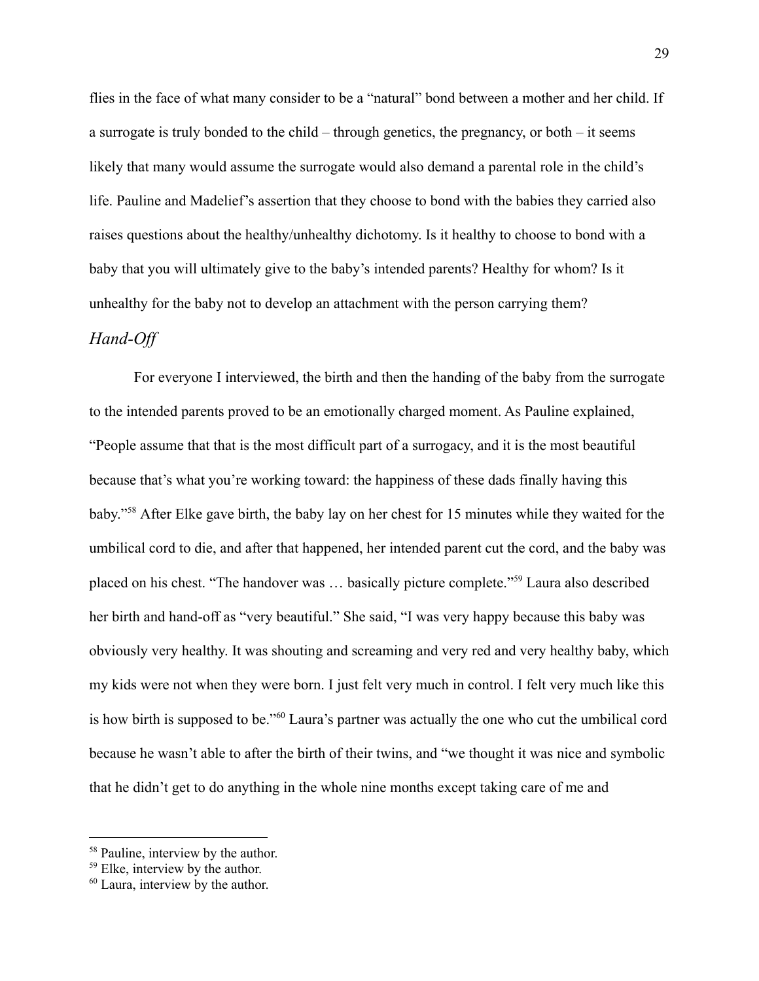flies in the face of what many consider to be a "natural" bond between a mother and her child. If a surrogate is truly bonded to the child – through genetics, the pregnancy, or both – it seems likely that many would assume the surrogate would also demand a parental role in the child's life. Pauline and Madelief's assertion that they choose to bond with the babies they carried also raises questions about the healthy/unhealthy dichotomy. Is it healthy to choose to bond with a baby that you will ultimately give to the baby's intended parents? Healthy for whom? Is it unhealthy for the baby not to develop an attachment with the person carrying them?

### <span id="page-30-0"></span>*Hand-Of*

For everyone I interviewed, the birth and then the handing of the baby from the surrogate to the intended parents proved to be an emotionally charged moment. As Pauline explained, "People assume that that is the most difficult part of a surrogacy, and it is the most beautiful because that's what you're working toward: the happiness of these dads finally having this baby."<sup>58</sup> After Elke gave birth, the baby lay on her chest for 15 minutes while they waited for the umbilical cord to die, and after that happened, her intended parent cut the cord, and the baby was placed on his chest. "The handover was … basically picture complete."<sup>59</sup> Laura also described her birth and hand-off as "very beautiful." She said, "I was very happy because this baby was obviously very healthy. It was shouting and screaming and very red and very healthy baby, which my kids were not when they were born. I just felt very much in control. I felt very much like this is how birth is supposed to be."<sup>60</sup> Laura's partner was actually the one who cut the umbilical cord because he wasn't able to after the birth of their twins, and "we thought it was nice and symbolic that he didn't get to do anything in the whole nine months except taking care of me and

<sup>&</sup>lt;sup>58</sup> Pauline, interview by the author.

<sup>59</sup> Elke, interview by the author.

<sup>60</sup> Laura, interview by the author.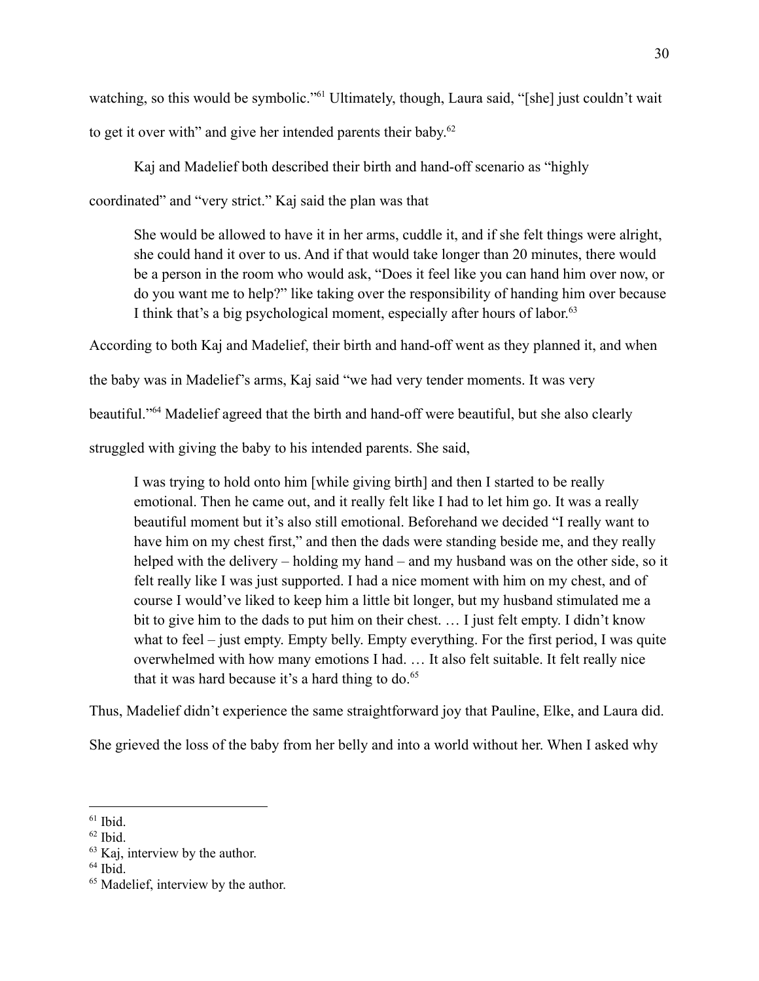watching, so this would be symbolic."<sup>61</sup> Ultimately, though, Laura said, "[she] just couldn't wait to get it over with" and give her intended parents their baby.<sup>62</sup>

Kaj and Madelief both described their birth and hand-off scenario as "highly coordinated" and "very strict." Kaj said the plan was that

She would be allowed to have it in her arms, cuddle it, and if she felt things were alright, she could hand it over to us. And if that would take longer than 20 minutes, there would be a person in the room who would ask, "Does it feel like you can hand him over now, or do you want me to help?" like taking over the responsibility of handing him over because I think that's a big psychological moment, especially after hours of labor.<sup>63</sup>

According to both Kaj and Madelief, their birth and hand-off went as they planned it, and when

the baby was in Madelief's arms, Kaj said "we had very tender moments. It was very

beautiful."<sup>64</sup> Madelief agreed that the birth and hand-off were beautiful, but she also clearly

struggled with giving the baby to his intended parents. She said,

I was trying to hold onto him [while giving birth] and then I started to be really emotional. Then he came out, and it really felt like I had to let him go. It was a really beautiful moment but it's also still emotional. Beforehand we decided "I really want to have him on my chest first," and then the dads were standing beside me, and they really helped with the delivery – holding my hand – and my husband was on the other side, so it felt really like I was just supported. I had a nice moment with him on my chest, and of course I would've liked to keep him a little bit longer, but my husband stimulated me a bit to give him to the dads to put him on their chest. … I just felt empty. I didn't know what to feel – just empty. Empty belly. Empty everything. For the first period, I was quite overwhelmed with how many emotions I had. … It also felt suitable. It felt really nice that it was hard because it's a hard thing to do. $65$ 

Thus, Madelief didn't experience the same straightforward joy that Pauline, Elke, and Laura did.

She grieved the loss of the baby from her belly and into a world without her. When I asked why

<sup>61</sup> Ibid.

<sup>62</sup> Ibid.

<sup>63</sup> Kaj, interview by the author.

<sup>64</sup> Ibid.

<sup>&</sup>lt;sup>65</sup> Madelief, interview by the author.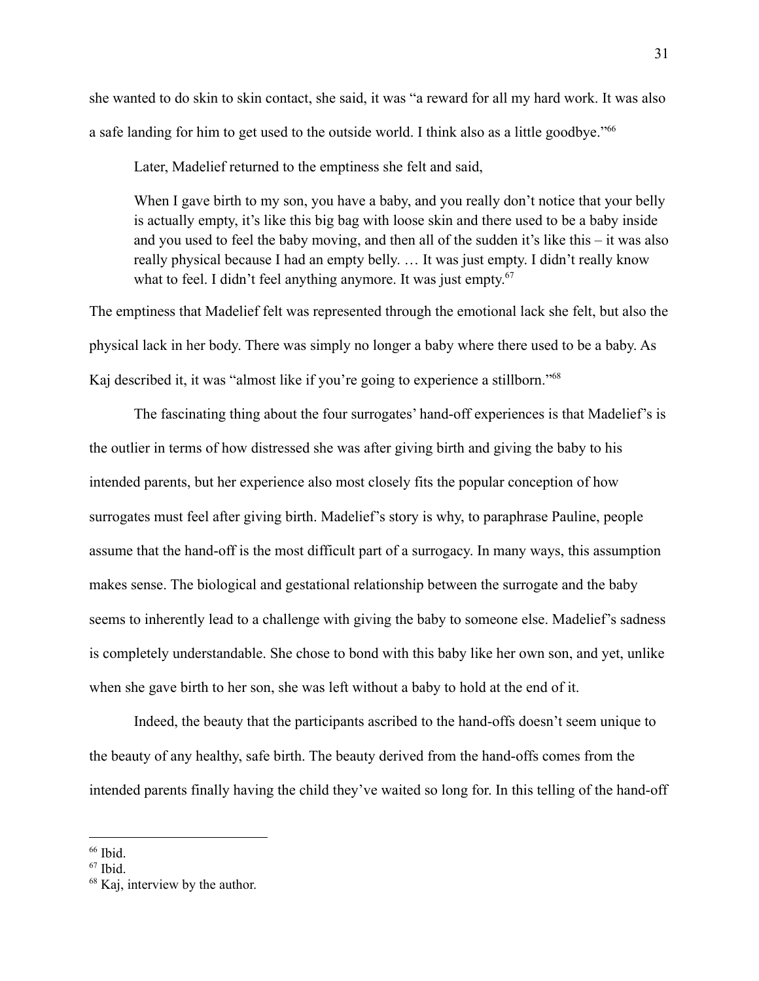she wanted to do skin to skin contact, she said, it was "a reward for all my hard work. It was also a safe landing for him to get used to the outside world. I think also as a little goodbye."<sup>66</sup>

Later, Madelief returned to the emptiness she felt and said,

When I gave birth to my son, you have a baby, and you really don't notice that your belly is actually empty, it's like this big bag with loose skin and there used to be a baby inside and you used to feel the baby moving, and then all of the sudden it's like this – it was also really physical because I had an empty belly. … It was just empty. I didn't really know what to feel. I didn't feel anything anymore. It was just empty.<sup>67</sup>

The emptiness that Madelief felt was represented through the emotional lack she felt, but also the physical lack in her body. There was simply no longer a baby where there used to be a baby. As Kaj described it, it was "almost like if you're going to experience a stillborn."<sup>68</sup>

The fascinating thing about the four surrogates' hand-off experiences is that Madelief's is the outlier in terms of how distressed she was after giving birth and giving the baby to his intended parents, but her experience also most closely fits the popular conception of how surrogates must feel after giving birth. Madelief's story is why, to paraphrase Pauline, people assume that the hand-off is the most difficult part of a surrogacy. In many ways, this assumption makes sense. The biological and gestational relationship between the surrogate and the baby seems to inherently lead to a challenge with giving the baby to someone else. Madelief's sadness is completely understandable. She chose to bond with this baby like her own son, and yet, unlike when she gave birth to her son, she was left without a baby to hold at the end of it.

Indeed, the beauty that the participants ascribed to the hand-offs doesn't seem unique to the beauty of any healthy, safe birth. The beauty derived from the hand-offs comes from the intended parents finally having the child they've waited so long for. In this telling of the hand-off

<sup>66</sup> Ibid.

<sup>67</sup> Ibid.

<sup>68</sup> Kaj, interview by the author.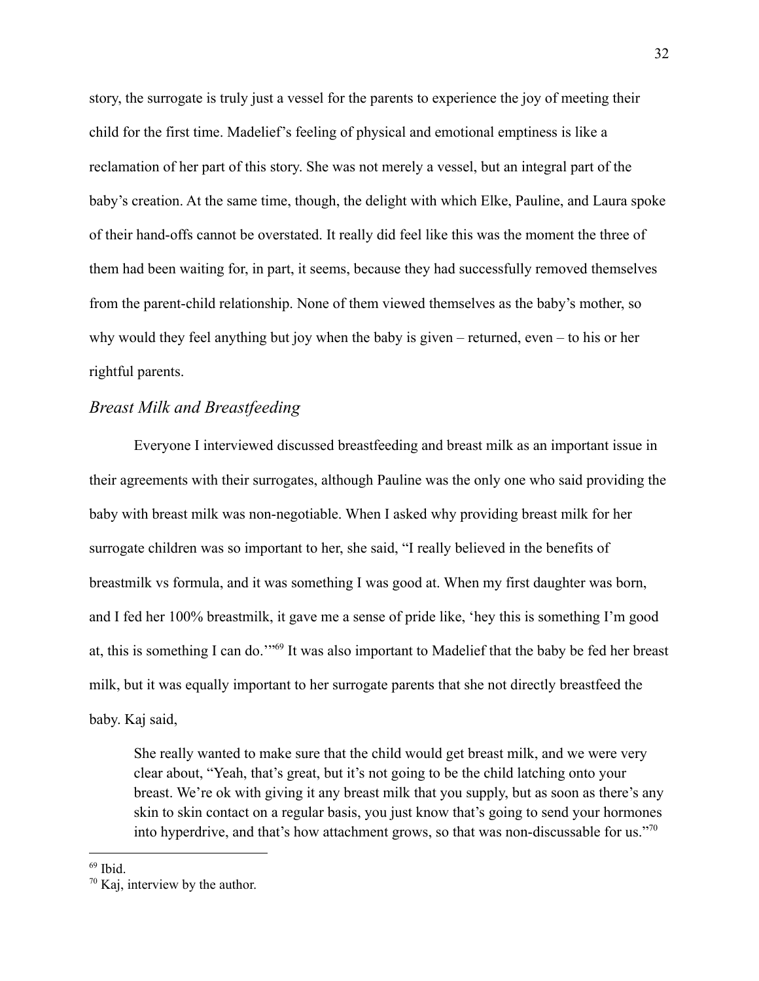story, the surrogate is truly just a vessel for the parents to experience the joy of meeting their child for the first time. Madelief's feeling of physical and emotional emptiness is like a reclamation of her part of this story. She was not merely a vessel, but an integral part of the baby's creation. At the same time, though, the delight with which Elke, Pauline, and Laura spoke of their hand-offs cannot be overstated. It really did feel like this was the moment the three of them had been waiting for, in part, it seems, because they had successfully removed themselves from the parent-child relationship. None of them viewed themselves as the baby's mother, so why would they feel anything but joy when the baby is given – returned, even – to his or her rightful parents.

# <span id="page-33-0"></span>*Breast Milk and Breastfeeding*

Everyone I interviewed discussed breastfeeding and breast milk as an important issue in their agreements with their surrogates, although Pauline was the only one who said providing the baby with breast milk was non-negotiable. When I asked why providing breast milk for her surrogate children was so important to her, she said, "I really believed in the benefits of breastmilk vs formula, and it was something I was good at. When my first daughter was born, and I fed her 100% breastmilk, it gave me a sense of pride like, 'hey this is something I'm good at, this is something I can do."<sup>69</sup> It was also important to Madelief that the baby be fed her breast milk, but it was equally important to her surrogate parents that she not directly breastfeed the baby. Kaj said,

She really wanted to make sure that the child would get breast milk, and we were very clear about, "Yeah, that's great, but it's not going to be the child latching onto your breast. We're ok with giving it any breast milk that you supply, but as soon as there's any skin to skin contact on a regular basis, you just know that's going to send your hormones into hyperdrive, and that's how attachment grows, so that was non-discussable for us."<sup>70</sup>

<sup>69</sup> Ibid.

<sup>70</sup> Kaj, interview by the author.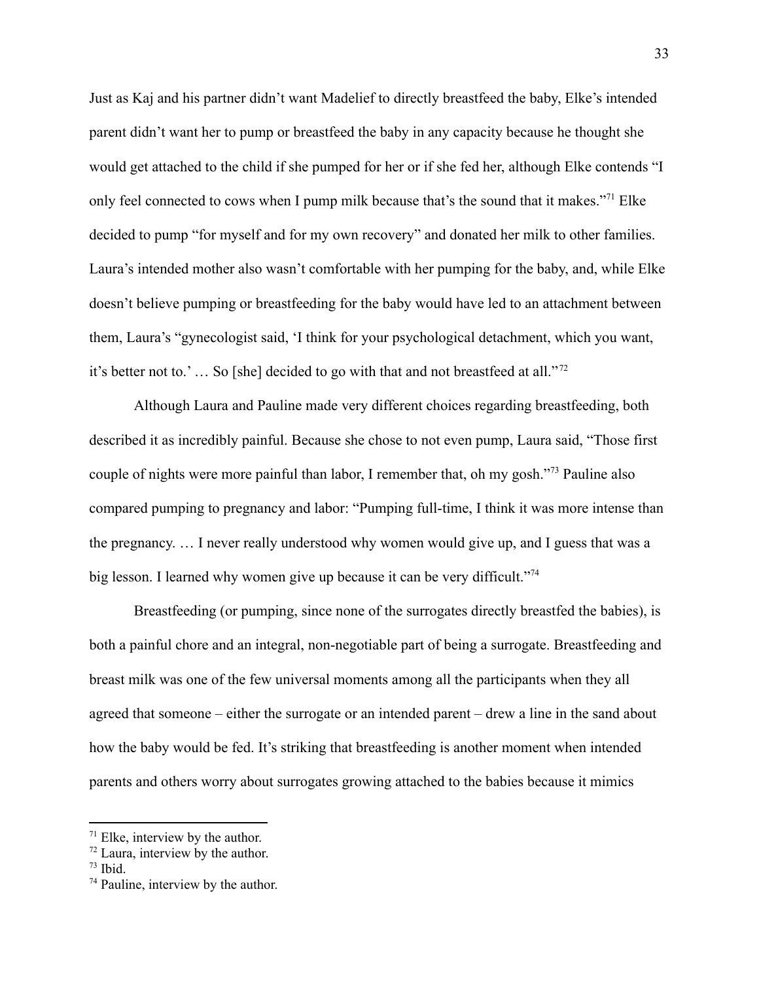Just as Kaj and his partner didn't want Madelief to directly breastfeed the baby, Elke's intended parent didn't want her to pump or breastfeed the baby in any capacity because he thought she would get attached to the child if she pumped for her or if she fed her, although Elke contends "I only feel connected to cows when I pump milk because that's the sound that it makes."<sup>71</sup> Elke decided to pump "for myself and for my own recovery" and donated her milk to other families. Laura's intended mother also wasn't comfortable with her pumping for the baby, and, while Elke doesn't believe pumping or breastfeeding for the baby would have led to an attachment between them, Laura's "gynecologist said, 'I think for your psychological detachment, which you want, it's better not to.' … So [she] decided to go with that and not breastfeed at all." <sup>72</sup>

Although Laura and Pauline made very different choices regarding breastfeeding, both described it as incredibly painful. Because she chose to not even pump, Laura said, "Those first couple of nights were more painful than labor, I remember that, oh my gosh."<sup>73</sup> Pauline also compared pumping to pregnancy and labor: "Pumping full-time, I think it was more intense than the pregnancy. … I never really understood why women would give up, and I guess that was a big lesson. I learned why women give up because it can be very difficult."<sup>74</sup>

Breastfeeding (or pumping, since none of the surrogates directly breastfed the babies), is both a painful chore and an integral, non-negotiable part of being a surrogate. Breastfeeding and breast milk was one of the few universal moments among all the participants when they all agreed that someone – either the surrogate or an intended parent – drew a line in the sand about how the baby would be fed. It's striking that breastfeeding is another moment when intended parents and others worry about surrogates growing attached to the babies because it mimics

 $71$  Elke, interview by the author.

 $72$  Laura, interview by the author.

 $73$  Ibid.

<sup>74</sup> Pauline, interview by the author.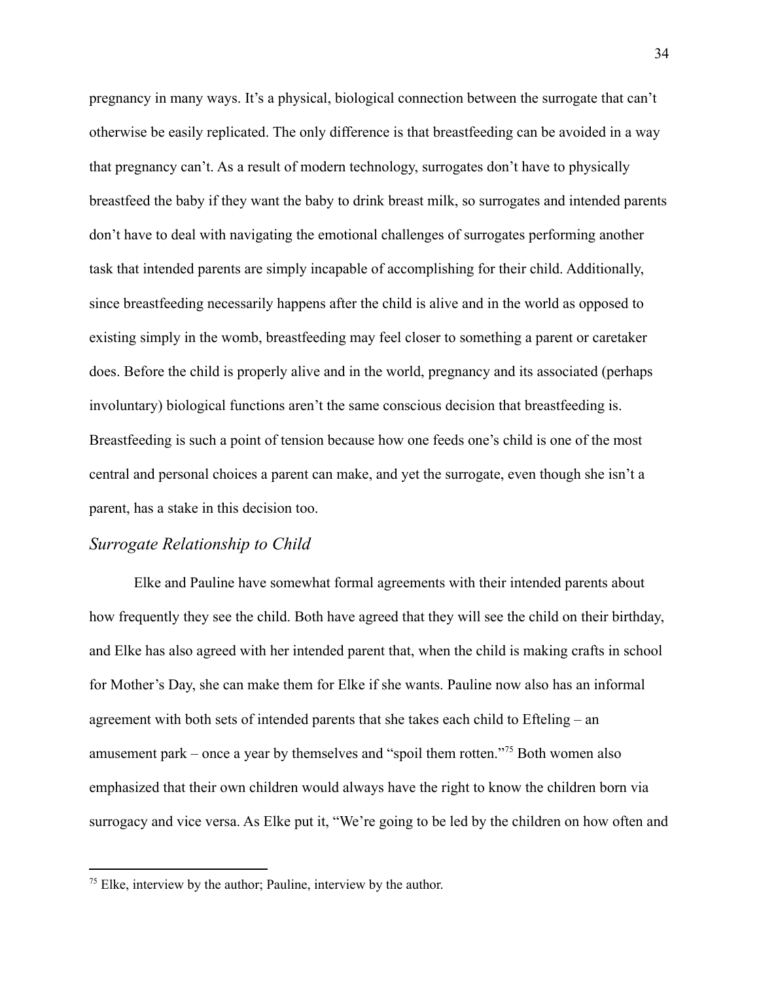pregnancy in many ways. It's a physical, biological connection between the surrogate that can't otherwise be easily replicated. The only difference is that breastfeeding can be avoided in a way that pregnancy can't. As a result of modern technology, surrogates don't have to physically breastfeed the baby if they want the baby to drink breast milk, so surrogates and intended parents don't have to deal with navigating the emotional challenges of surrogates performing another task that intended parents are simply incapable of accomplishing for their child. Additionally, since breastfeeding necessarily happens after the child is alive and in the world as opposed to existing simply in the womb, breastfeeding may feel closer to something a parent or caretaker does. Before the child is properly alive and in the world, pregnancy and its associated (perhaps involuntary) biological functions aren't the same conscious decision that breastfeeding is. Breastfeeding is such a point of tension because how one feeds one's child is one of the most central and personal choices a parent can make, and yet the surrogate, even though she isn't a parent, has a stake in this decision too.

# <span id="page-35-0"></span>*Surrogate Relationship to Child*

Elke and Pauline have somewhat formal agreements with their intended parents about how frequently they see the child. Both have agreed that they will see the child on their birthday, and Elke has also agreed with her intended parent that, when the child is making crafts in school for Mother's Day, she can make them for Elke if she wants. Pauline now also has an informal agreement with both sets of intended parents that she takes each child to Efteling – an amusement park – once a year by themselves and "spoil them rotten."<sup>75</sup> Both women also emphasized that their own children would always have the right to know the children born via surrogacy and vice versa. As Elke put it, "We're going to be led by the children on how often and

 $<sup>75</sup>$  Elke, interview by the author; Pauline, interview by the author.</sup>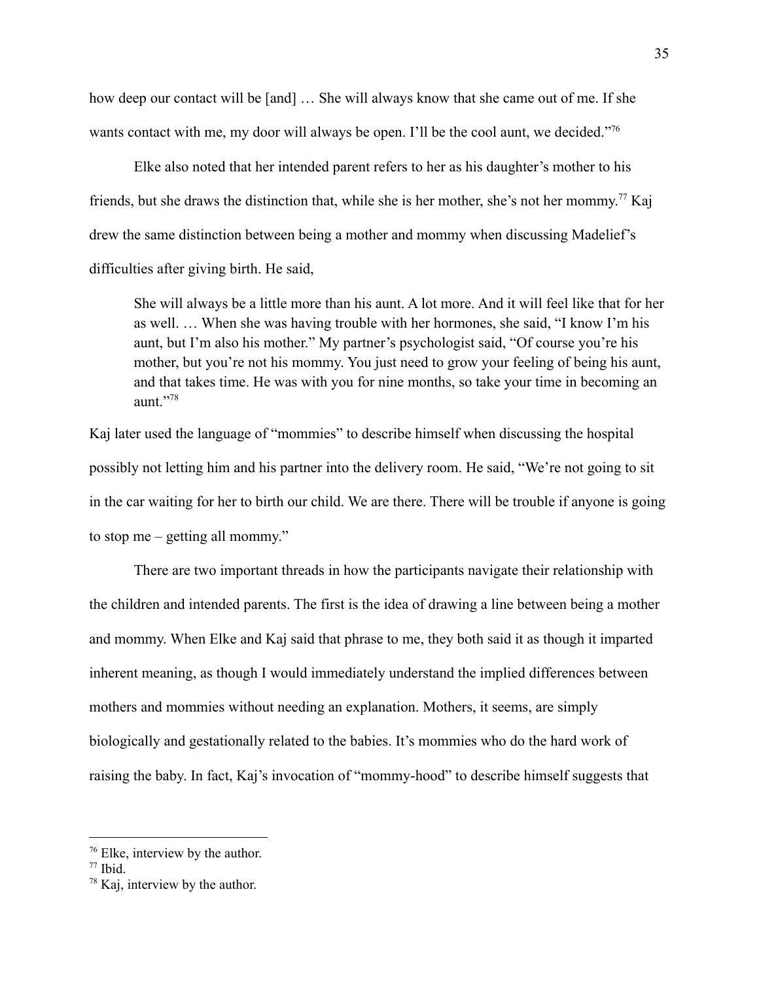how deep our contact will be [and] … She will always know that she came out of me. If she wants contact with me, my door will always be open. I'll be the cool aunt, we decided."<sup>76</sup>

Elke also noted that her intended parent refers to her as his daughter's mother to his friends, but she draws the distinction that, while she is her mother, she's not her mommy. <sup>77</sup> Kaj drew the same distinction between being a mother and mommy when discussing Madelief's difficulties after giving birth. He said,

She will always be a little more than his aunt. A lot more. And it will feel like that for her as well. … When she was having trouble with her hormones, she said, "I know I'm his aunt, but I'm also his mother." My partner's psychologist said, "Of course you're his mother, but you're not his mommy. You just need to grow your feeling of being his aunt, and that takes time. He was with you for nine months, so take your time in becoming an aunt."<sup>78</sup>

Kaj later used the language of "mommies" to describe himself when discussing the hospital possibly not letting him and his partner into the delivery room. He said, "We're not going to sit in the car waiting for her to birth our child. We are there. There will be trouble if anyone is going to stop me – getting all mommy."

There are two important threads in how the participants navigate their relationship with the children and intended parents. The first is the idea of drawing a line between being a mother and mommy. When Elke and Kaj said that phrase to me, they both said it as though it imparted inherent meaning, as though I would immediately understand the implied differences between mothers and mommies without needing an explanation. Mothers, it seems, are simply biologically and gestationally related to the babies. It's mommies who do the hard work of raising the baby. In fact, Kaj's invocation of "mommy-hood" to describe himself suggests that

<sup>76</sup> Elke, interview by the author.

<sup>77</sup> Ibid.

<sup>78</sup> Kaj, interview by the author.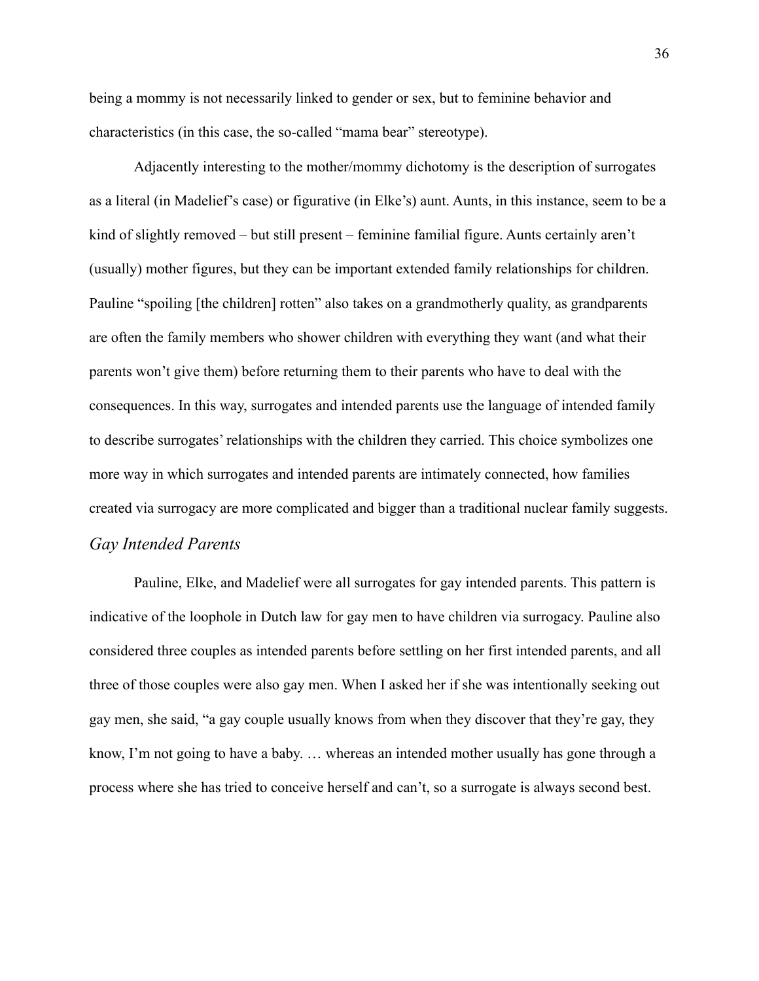being a mommy is not necessarily linked to gender or sex, but to feminine behavior and characteristics (in this case, the so-called "mama bear" stereotype).

Adjacently interesting to the mother/mommy dichotomy is the description of surrogates as a literal (in Madelief's case) or figurative (in Elke's) aunt. Aunts, in this instance, seem to be a kind of slightly removed – but still present – feminine familial figure. Aunts certainly aren't (usually) mother figures, but they can be important extended family relationships for children. Pauline "spoiling [the children] rotten" also takes on a grandmotherly quality, as grandparents are often the family members who shower children with everything they want (and what their parents won't give them) before returning them to their parents who have to deal with the consequences. In this way, surrogates and intended parents use the language of intended family to describe surrogates' relationships with the children they carried. This choice symbolizes one more way in which surrogates and intended parents are intimately connected, how families created via surrogacy are more complicated and bigger than a traditional nuclear family suggests. *Gay Intended Parents*

<span id="page-37-0"></span>Pauline, Elke, and Madelief were all surrogates for gay intended parents. This pattern is indicative of the loophole in Dutch law for gay men to have children via surrogacy. Pauline also considered three couples as intended parents before settling on her first intended parents, and all three of those couples were also gay men. When I asked her if she was intentionally seeking out gay men, she said, "a gay couple usually knows from when they discover that they're gay, they know, I'm not going to have a baby. … whereas an intended mother usually has gone through a process where she has tried to conceive herself and can't, so a surrogate is always second best.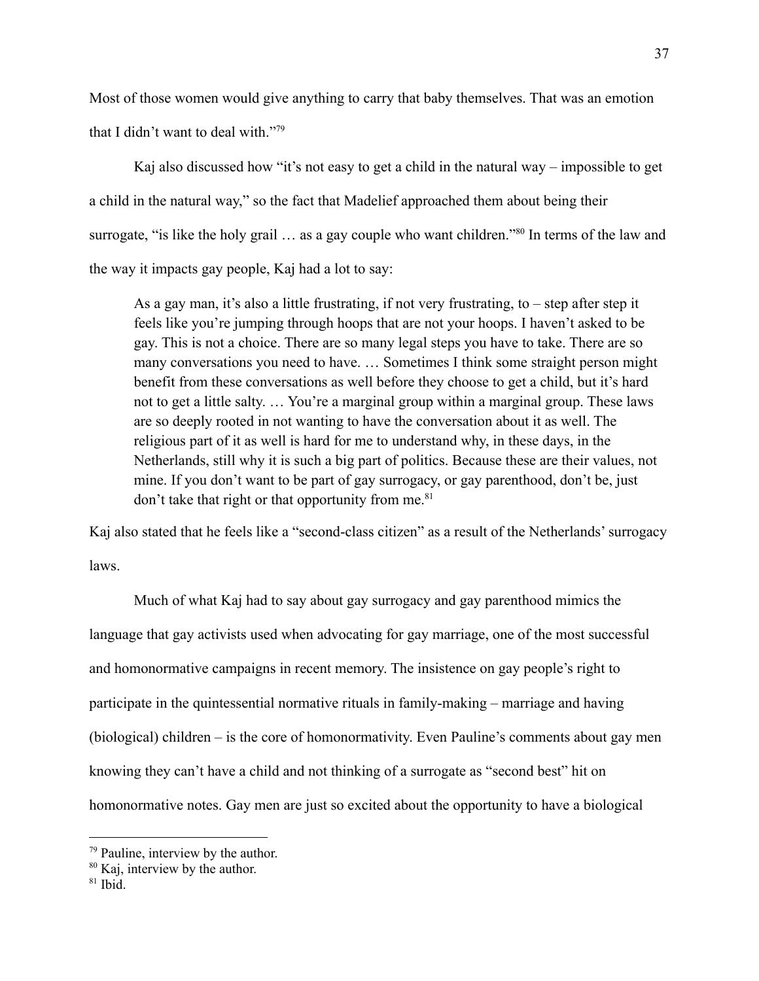Most of those women would give anything to carry that baby themselves. That was an emotion that I didn't want to deal with."<sup>79</sup>

Kaj also discussed how "it's not easy to get a child in the natural way – impossible to get a child in the natural way," so the fact that Madelief approached them about being their surrogate, "is like the holy grail ... as a gay couple who want children."<sup>80</sup> In terms of the law and the way it impacts gay people, Kaj had a lot to say:

As a gay man, it's also a little frustrating, if not very frustrating, to – step after step it feels like you're jumping through hoops that are not your hoops. I haven't asked to be gay. This is not a choice. There are so many legal steps you have to take. There are so many conversations you need to have. … Sometimes I think some straight person might benefit from these conversations as well before they choose to get a child, but it's hard not to get a little salty. … You're a marginal group within a marginal group. These laws are so deeply rooted in not wanting to have the conversation about it as well. The religious part of it as well is hard for me to understand why, in these days, in the Netherlands, still why it is such a big part of politics. Because these are their values, not mine. If you don't want to be part of gay surrogacy, or gay parenthood, don't be, just don't take that right or that opportunity from me. $81$ 

Kaj also stated that he feels like a "second-class citizen" as a result of the Netherlands' surrogacy laws.

Much of what Kaj had to say about gay surrogacy and gay parenthood mimics the language that gay activists used when advocating for gay marriage, one of the most successful and homonormative campaigns in recent memory. The insistence on gay people's right to participate in the quintessential normative rituals in family-making – marriage and having (biological) children – is the core of homonormativity. Even Pauline's comments about gay men knowing they can't have a child and not thinking of a surrogate as "second best" hit on homonormative notes. Gay men are just so excited about the opportunity to have a biological

<sup>79</sup> Pauline, interview by the author.

<sup>80</sup> Kaj, interview by the author.

<sup>81</sup> Ibid.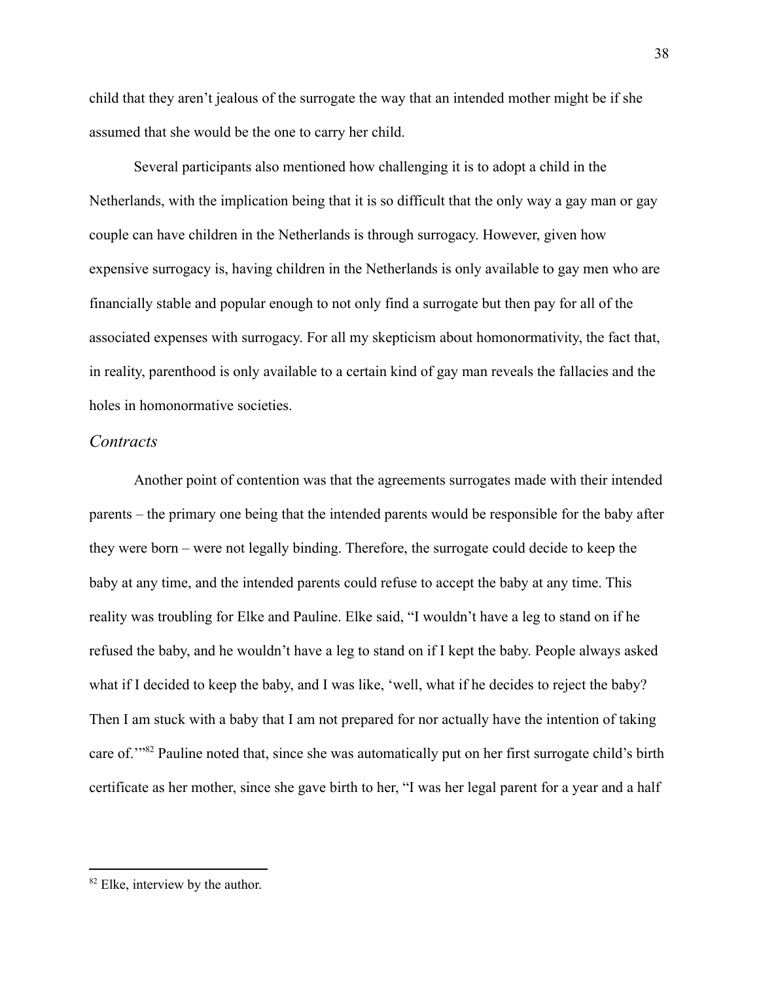child that they aren't jealous of the surrogate the way that an intended mother might be if she assumed that she would be the one to carry her child.

Several participants also mentioned how challenging it is to adopt a child in the Netherlands, with the implication being that it is so difficult that the only way a gay man or gay couple can have children in the Netherlands is through surrogacy. However, given how expensive surrogacy is, having children in the Netherlands is only available to gay men who are financially stable and popular enough to not only find a surrogate but then pay for all of the associated expenses with surrogacy. For all my skepticism about homonormativity, the fact that, in reality, parenthood is only available to a certain kind of gay man reveals the fallacies and the holes in homonormative societies.

#### <span id="page-39-0"></span>*Contracts*

Another point of contention was that the agreements surrogates made with their intended parents – the primary one being that the intended parents would be responsible for the baby after they were born – were not legally binding. Therefore, the surrogate could decide to keep the baby at any time, and the intended parents could refuse to accept the baby at any time. This reality was troubling for Elke and Pauline. Elke said, "I wouldn't have a leg to stand on if he refused the baby, and he wouldn't have a leg to stand on if I kept the baby. People always asked what if I decided to keep the baby, and I was like, 'well, what if he decides to reject the baby? Then I am stuck with a baby that I am not prepared for nor actually have the intention of taking care of.'"<sup>82</sup> Pauline noted that, since she was automatically put on her first surrogate child's birth certificate as her mother, since she gave birth to her, "I was her legal parent for a year and a half

<sup>&</sup>lt;sup>82</sup> Elke, interview by the author.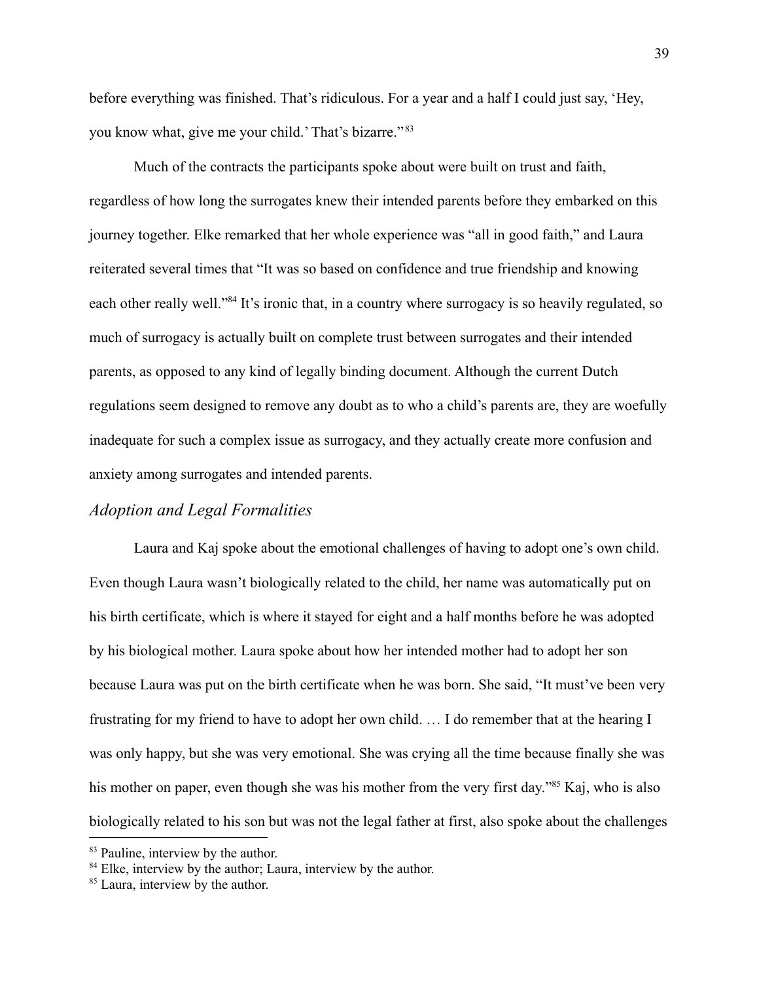before everything was finished. That's ridiculous. For a year and a half I could just say, 'Hey, you know what, give me your child.' That's bizarre." <sup>83</sup>

Much of the contracts the participants spoke about were built on trust and faith, regardless of how long the surrogates knew their intended parents before they embarked on this journey together. Elke remarked that her whole experience was "all in good faith," and Laura reiterated several times that "It was so based on confidence and true friendship and knowing each other really well."<sup>84</sup> It's ironic that, in a country where surrogacy is so heavily regulated, so much of surrogacy is actually built on complete trust between surrogates and their intended parents, as opposed to any kind of legally binding document. Although the current Dutch regulations seem designed to remove any doubt as to who a child's parents are, they are woefully inadequate for such a complex issue as surrogacy, and they actually create more confusion and anxiety among surrogates and intended parents.

### <span id="page-40-0"></span>*Adoption and Legal Formalities*

Laura and Kaj spoke about the emotional challenges of having to adopt one's own child. Even though Laura wasn't biologically related to the child, her name was automatically put on his birth certificate, which is where it stayed for eight and a half months before he was adopted by his biological mother. Laura spoke about how her intended mother had to adopt her son because Laura was put on the birth certificate when he was born. She said, "It must've been very frustrating for my friend to have to adopt her own child. … I do remember that at the hearing I was only happy, but she was very emotional. She was crying all the time because finally she was his mother on paper, even though she was his mother from the very first day."<sup>85</sup> Kaj, who is also biologically related to his son but was not the legal father at first, also spoke about the challenges

<sup>&</sup>lt;sup>83</sup> Pauline, interview by the author.

<sup>&</sup>lt;sup>84</sup> Elke, interview by the author; Laura, interview by the author.

<sup>&</sup>lt;sup>85</sup> Laura, interview by the author.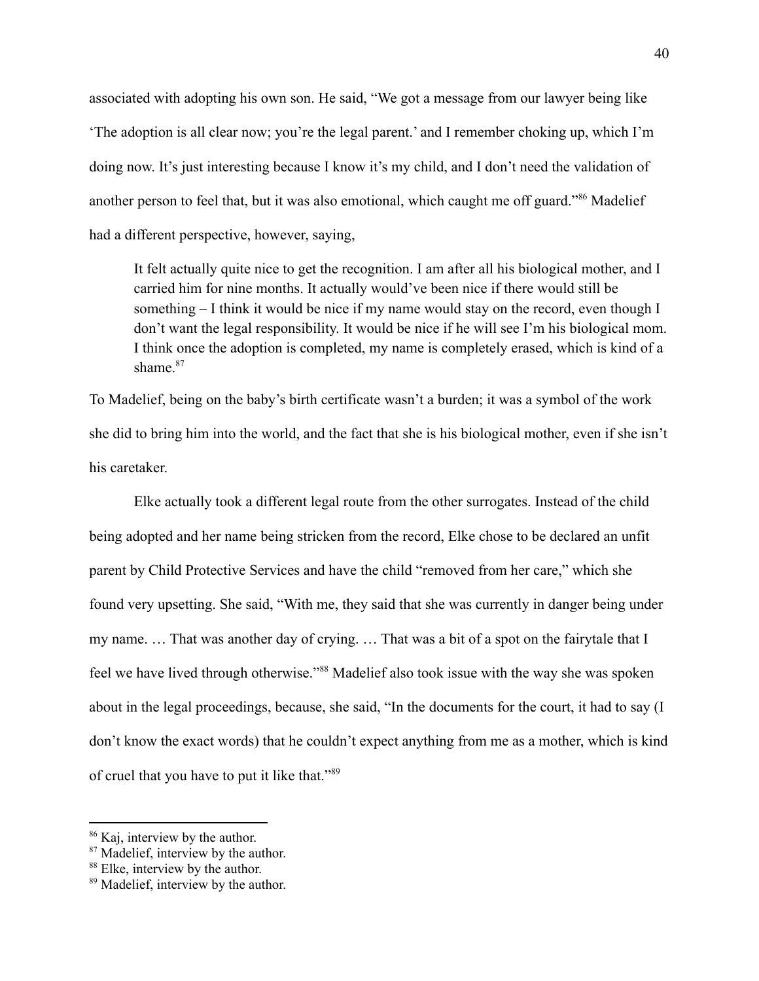associated with adopting his own son. He said, "We got a message from our lawyer being like 'The adoption is all clear now; you're the legal parent.' and I remember choking up, which I'm doing now. It's just interesting because I know it's my child, and I don't need the validation of another person to feel that, but it was also emotional, which caught me off guard."<sup>86</sup> Madelief had a different perspective, however, saying,

It felt actually quite nice to get the recognition. I am after all his biological mother, and I carried him for nine months. It actually would've been nice if there would still be something  $-I$  think it would be nice if my name would stay on the record, even though I don't want the legal responsibility. It would be nice if he will see I'm his biological mom. I think once the adoption is completed, my name is completely erased, which is kind of a shame $87$ 

To Madelief, being on the baby's birth certificate wasn't a burden; it was a symbol of the work she did to bring him into the world, and the fact that she is his biological mother, even if she isn't his caretaker.

Elke actually took a different legal route from the other surrogates. Instead of the child being adopted and her name being stricken from the record, Elke chose to be declared an unfit parent by Child Protective Services and have the child "removed from her care," which she found very upsetting. She said, "With me, they said that she was currently in danger being under my name. … That was another day of crying. … That was a bit of a spot on the fairytale that I feel we have lived through otherwise."<sup>88</sup> Madelief also took issue with the way she was spoken about in the legal proceedings, because, she said, "In the documents for the court, it had to say (I don't know the exact words) that he couldn't expect anything from me as a mother, which is kind of cruel that you have to put it like that."<sup>89</sup>

<sup>86</sup> Kaj, interview by the author.

<sup>&</sup>lt;sup>87</sup> Madelief, interview by the author.

<sup>88</sup> Elke, interview by the author.

<sup>89</sup> Madelief, interview by the author.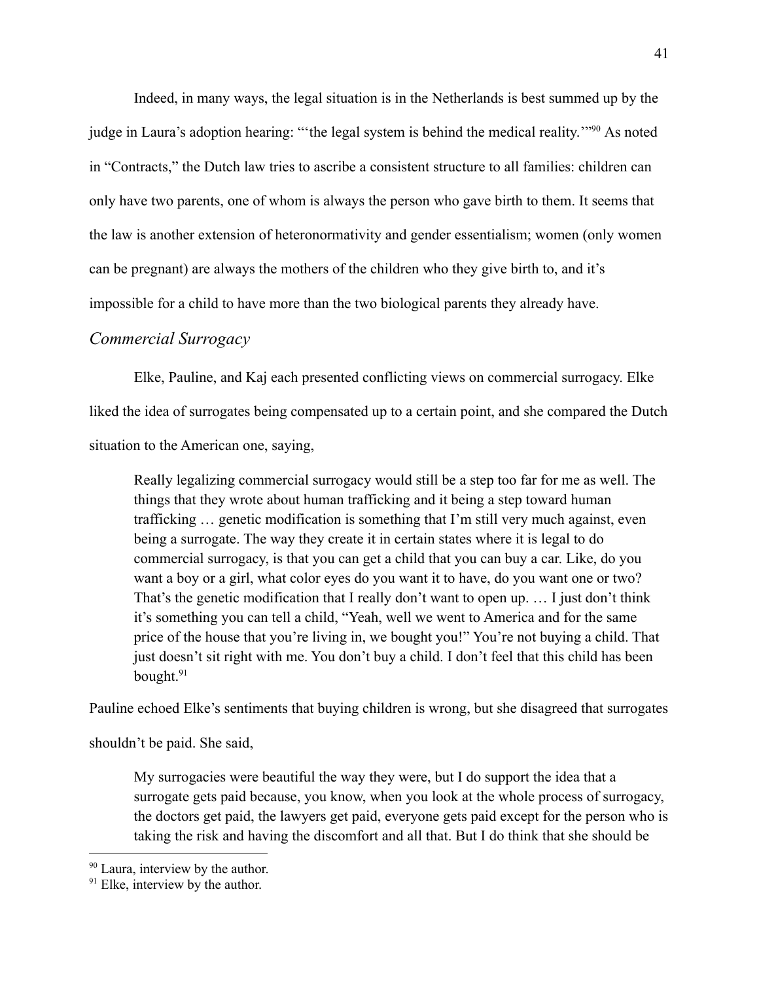Indeed, in many ways, the legal situation is in the Netherlands is best summed up by the judge in Laura's adoption hearing: "'the legal system is behind the medical reality.'"<sup>90</sup> As noted in "Contracts," the Dutch law tries to ascribe a consistent structure to all families: children can only have two parents, one of whom is always the person who gave birth to them. It seems that the law is another extension of heteronormativity and gender essentialism; women (only women can be pregnant) are always the mothers of the children who they give birth to, and it's impossible for a child to have more than the two biological parents they already have.

### <span id="page-42-0"></span>*Commercial Surrogacy*

Elke, Pauline, and Kaj each presented conflicting views on commercial surrogacy. Elke liked the idea of surrogates being compensated up to a certain point, and she compared the Dutch situation to the American one, saying,

Really legalizing commercial surrogacy would still be a step too far for me as well. The things that they wrote about human trafficking and it being a step toward human trafficking … genetic modification is something that I'm still very much against, even being a surrogate. The way they create it in certain states where it is legal to do commercial surrogacy, is that you can get a child that you can buy a car. Like, do you want a boy or a girl, what color eyes do you want it to have, do you want one or two? That's the genetic modification that I really don't want to open up. … I just don't think it's something you can tell a child, "Yeah, well we went to America and for the same price of the house that you're living in, we bought you!" You're not buying a child. That just doesn't sit right with me. You don't buy a child. I don't feel that this child has been bought.<sup>91</sup>

Pauline echoed Elke's sentiments that buying children is wrong, but she disagreed that surrogates

shouldn't be paid. She said,

My surrogacies were beautiful the way they were, but I do support the idea that a surrogate gets paid because, you know, when you look at the whole process of surrogacy, the doctors get paid, the lawyers get paid, everyone gets paid except for the person who is taking the risk and having the discomfort and all that. But I do think that she should be

<sup>90</sup> Laura, interview by the author.

<sup>&</sup>lt;sup>91</sup> Elke, interview by the author.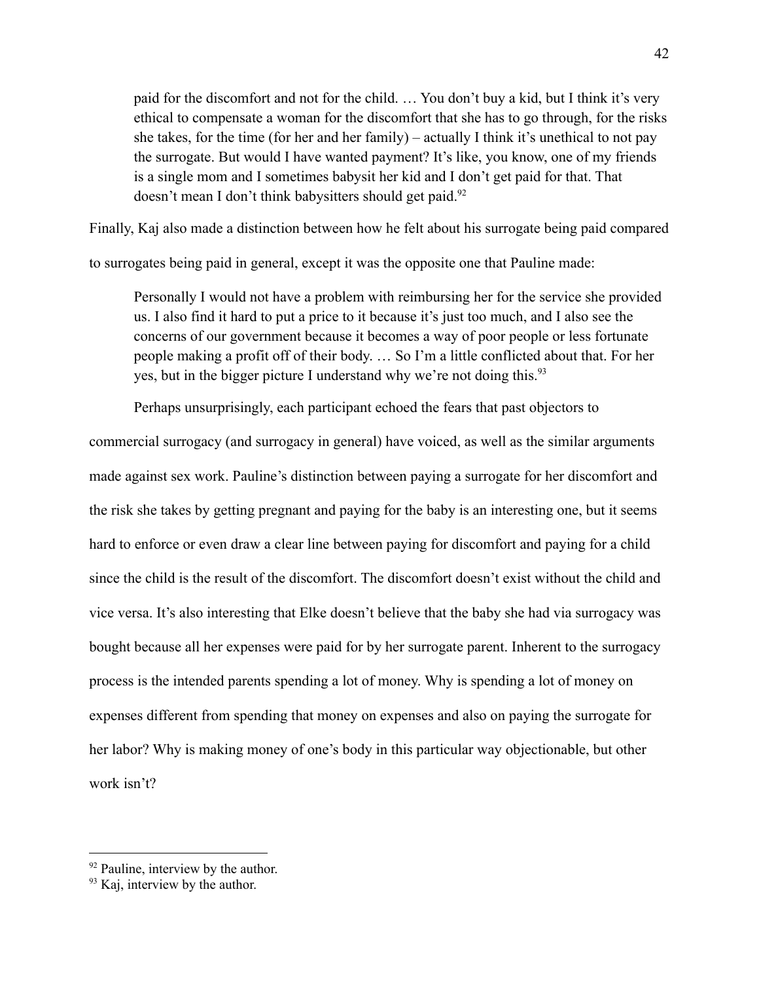paid for the discomfort and not for the child. … You don't buy a kid, but I think it's very ethical to compensate a woman for the discomfort that she has to go through, for the risks she takes, for the time (for her and her family) – actually I think it's unethical to not pay the surrogate. But would I have wanted payment? It's like, you know, one of my friends is a single mom and I sometimes babysit her kid and I don't get paid for that. That doesn't mean I don't think babysitters should get paid.<sup>92</sup>

Finally, Kaj also made a distinction between how he felt about his surrogate being paid compared

to surrogates being paid in general, except it was the opposite one that Pauline made:

Personally I would not have a problem with reimbursing her for the service she provided us. I also find it hard to put a price to it because it's just too much, and I also see the concerns of our government because it becomes a way of poor people or less fortunate people making a profit off of their body. … So I'm a little conflicted about that. For her yes, but in the bigger picture I understand why we're not doing this.<sup>93</sup>

Perhaps unsurprisingly, each participant echoed the fears that past objectors to

commercial surrogacy (and surrogacy in general) have voiced, as well as the similar arguments made against sex work. Pauline's distinction between paying a surrogate for her discomfort and the risk she takes by getting pregnant and paying for the baby is an interesting one, but it seems hard to enforce or even draw a clear line between paying for discomfort and paying for a child since the child is the result of the discomfort. The discomfort doesn't exist without the child and vice versa. It's also interesting that Elke doesn't believe that the baby she had via surrogacy was bought because all her expenses were paid for by her surrogate parent. Inherent to the surrogacy process is the intended parents spending a lot of money. Why is spending a lot of money on expenses different from spending that money on expenses and also on paying the surrogate for her labor? Why is making money of one's body in this particular way objectionable, but other work isn't?

<sup>&</sup>lt;sup>92</sup> Pauline, interview by the author.

<sup>&</sup>lt;sup>93</sup> Kaj, interview by the author.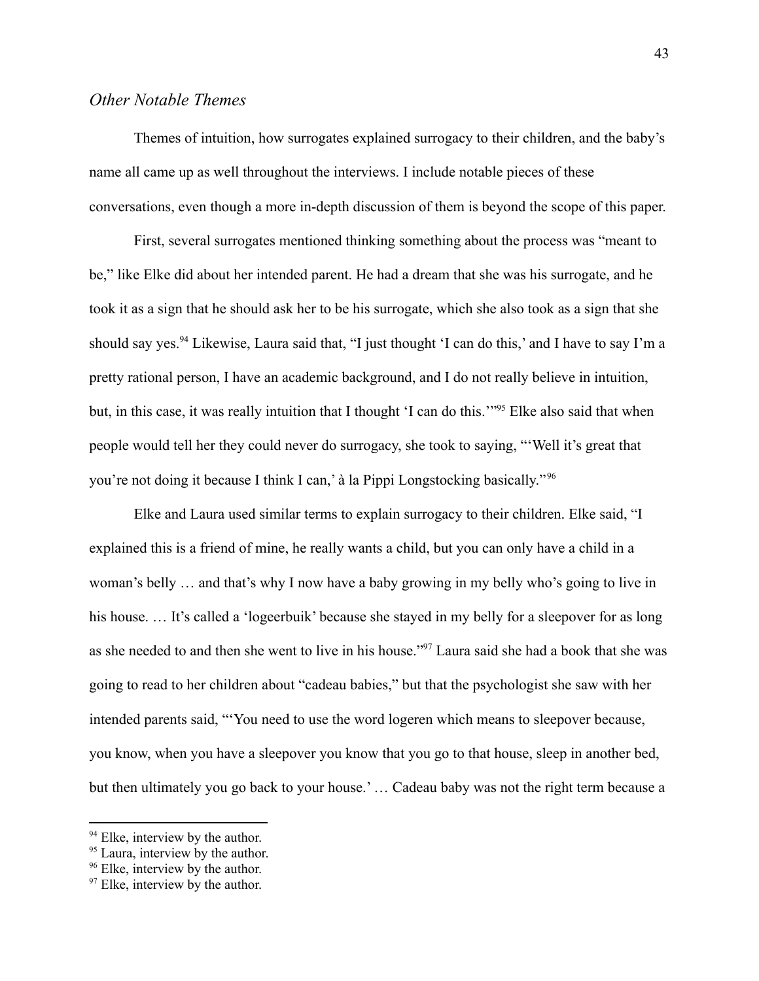### *Other Notable Themes*

Themes of intuition, how surrogates explained surrogacy to their children, and the baby's name all came up as well throughout the interviews. I include notable pieces of these conversations, even though a more in-depth discussion of them is beyond the scope of this paper.

First, several surrogates mentioned thinking something about the process was "meant to be," like Elke did about her intended parent. He had a dream that she was his surrogate, and he took it as a sign that he should ask her to be his surrogate, which she also took as a sign that she should say yes.<sup>94</sup> Likewise, Laura said that, "I just thought 'I can do this,' and I have to say I'm a pretty rational person, I have an academic background, and I do not really believe in intuition, but, in this case, it was really intuition that I thought 'I can do this.'"<sup>95</sup> Elke also said that when people would tell her they could never do surrogacy, she took to saying, "'Well it's great that you're not doing it because I think I can,' à la Pippi Longstocking basically." <sup>96</sup>

Elke and Laura used similar terms to explain surrogacy to their children. Elke said, "I explained this is a friend of mine, he really wants a child, but you can only have a child in a woman's belly … and that's why I now have a baby growing in my belly who's going to live in his house. ... It's called a 'logeerbuik' because she stayed in my belly for a sleepover for as long as she needed to and then she went to live in his house."<sup>97</sup> Laura said she had a book that she was going to read to her children about "cadeau babies," but that the psychologist she saw with her intended parents said, "'You need to use the word logeren which means to sleepover because, you know, when you have a sleepover you know that you go to that house, sleep in another bed, but then ultimately you go back to your house.' … Cadeau baby was not the right term because a

<sup>&</sup>lt;sup>94</sup> Elke, interview by the author.

<sup>&</sup>lt;sup>95</sup> Laura, interview by the author.

<sup>&</sup>lt;sup>96</sup> Elke, interview by the author.

<sup>&</sup>lt;sup>97</sup> Elke, interview by the author.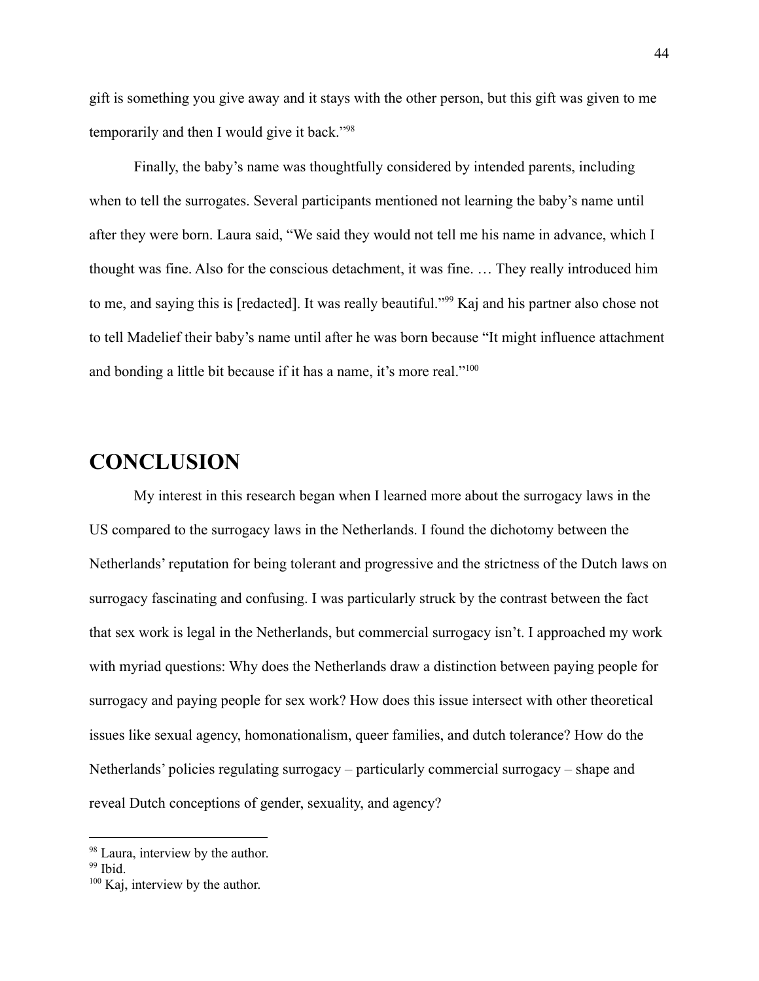gift is something you give away and it stays with the other person, but this gift was given to me temporarily and then I would give it back."<sup>98</sup>

Finally, the baby's name was thoughtfully considered by intended parents, including when to tell the surrogates. Several participants mentioned not learning the baby's name until after they were born. Laura said, "We said they would not tell me his name in advance, which I thought was fine. Also for the conscious detachment, it was fine. … They really introduced him to me, and saying this is [redacted]. It was really beautiful."<sup>99</sup> Kaj and his partner also chose not to tell Madelief their baby's name until after he was born because "It might influence attachment and bonding a little bit because if it has a name, it's more real."<sup>100</sup>

# <span id="page-45-0"></span>**CONCLUSION**

My interest in this research began when I learned more about the surrogacy laws in the US compared to the surrogacy laws in the Netherlands. I found the dichotomy between the Netherlands' reputation for being tolerant and progressive and the strictness of the Dutch laws on surrogacy fascinating and confusing. I was particularly struck by the contrast between the fact that sex work is legal in the Netherlands, but commercial surrogacy isn't. I approached my work with myriad questions: Why does the Netherlands draw a distinction between paying people for surrogacy and paying people for sex work? How does this issue intersect with other theoretical issues like sexual agency, homonationalism, queer families, and dutch tolerance? How do the Netherlands' policies regulating surrogacy – particularly commercial surrogacy – shape and reveal Dutch conceptions of gender, sexuality, and agency?

<sup>&</sup>lt;sup>98</sup> Laura, interview by the author.

<sup>&</sup>lt;sup>99</sup> Ibid.

<sup>&</sup>lt;sup>100</sup> Kaj, interview by the author.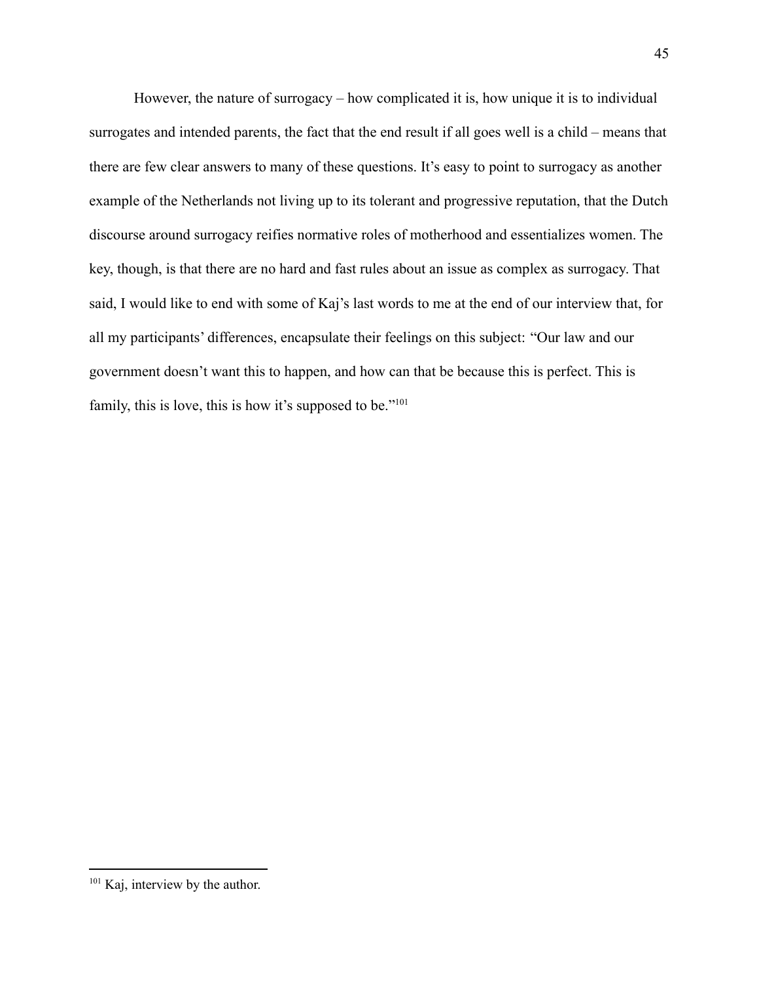However, the nature of surrogacy – how complicated it is, how unique it is to individual surrogates and intended parents, the fact that the end result if all goes well is a child – means that there are few clear answers to many of these questions. It's easy to point to surrogacy as another example of the Netherlands not living up to its tolerant and progressive reputation, that the Dutch discourse around surrogacy reifies normative roles of motherhood and essentializes women. The key, though, is that there are no hard and fast rules about an issue as complex as surrogacy. That said, I would like to end with some of Kaj's last words to me at the end of our interview that, for all my participants' differences, encapsulate their feelings on this subject: "Our law and our government doesn't want this to happen, and how can that be because this is perfect. This is family, this is love, this is how it's supposed to be."<sup>101</sup>

<sup>&</sup>lt;sup>101</sup> Kaj, interview by the author.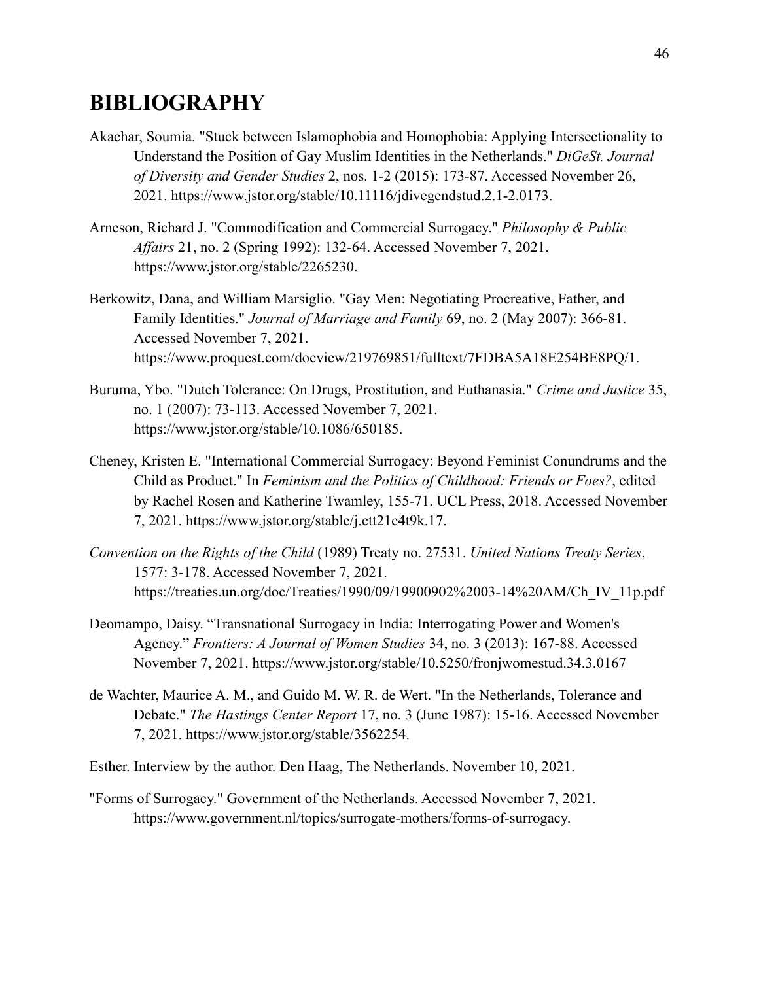# <span id="page-47-0"></span>**BIBLIOGRAPHY**

- Akachar, Soumia. "Stuck between Islamophobia and Homophobia: Applying Intersectionality to Understand the Position of Gay Muslim Identities in the Netherlands." *DiGeSt. Journal of Diversity and Gender Studies* 2, nos. 1-2 (2015): 173-87. Accessed November 26, 2021. https://www.jstor.org/stable/10.11116/jdivegendstud.2.1-2.0173.
- Arneson, Richard J. "Commodification and Commercial Surrogacy." *Philosophy & Public Affairs* 21, no. 2 (Spring 1992): 132-64. Accessed November 7, 2021. https://www.jstor.org/stable/2265230.
- Berkowitz, Dana, and William Marsiglio. "Gay Men: Negotiating Procreative, Father, and Family Identities." *Journal of Marriage and Family* 69, no. 2 (May 2007): 366-81. Accessed November 7, 2021. https://www.proquest.com/docview/219769851/fulltext/7FDBA5A18E254BE8PQ/1.
- Buruma, Ybo. "Dutch Tolerance: On Drugs, Prostitution, and Euthanasia." *Crime and Justice* 35, no. 1 (2007): 73-113. Accessed November 7, 2021. https://www.jstor.org/stable/10.1086/650185.
- Cheney, Kristen E. "International Commercial Surrogacy: Beyond Feminist Conundrums and the Child as Product." In *Feminism and the Politics of Childhood: Friends or Foes?*, edited by Rachel Rosen and Katherine Twamley, 155-71. UCL Press, 2018. Accessed November 7, 2021. https://www.jstor.org/stable/j.ctt21c4t9k.17.
- *Convention on the Rights of the Child* (1989) Treaty no. 27531. *United Nations Treaty Series*, 1577: 3-178. Accessed November 7, 2021. https://treaties.un.org/doc/Treaties/1990/09/19900902%2003-14%20AM/Ch\_IV\_11p.pdf
- Deomampo, Daisy. "Transnational Surrogacy in India: Interrogating Power and Women's Agency." *Frontiers: A Journal of Women Studies* 34, no. 3 (2013): 167-88. Accessed November 7, 2021. https://www.jstor.org/stable/10.5250/fronjwomestud.34.3.0167
- de Wachter, Maurice A. M., and Guido M. W. R. de Wert. "In the Netherlands, Tolerance and Debate." *The Hastings Center Report* 17, no. 3 (June 1987): 15-16. Accessed November 7, 2021. https://www.jstor.org/stable/3562254.
- Esther. Interview by the author. Den Haag, The Netherlands. November 10, 2021.
- "Forms of Surrogacy." Government of the Netherlands. Accessed November 7, 2021. https://www.government.nl/topics/surrogate-mothers/forms-of-surrogacy.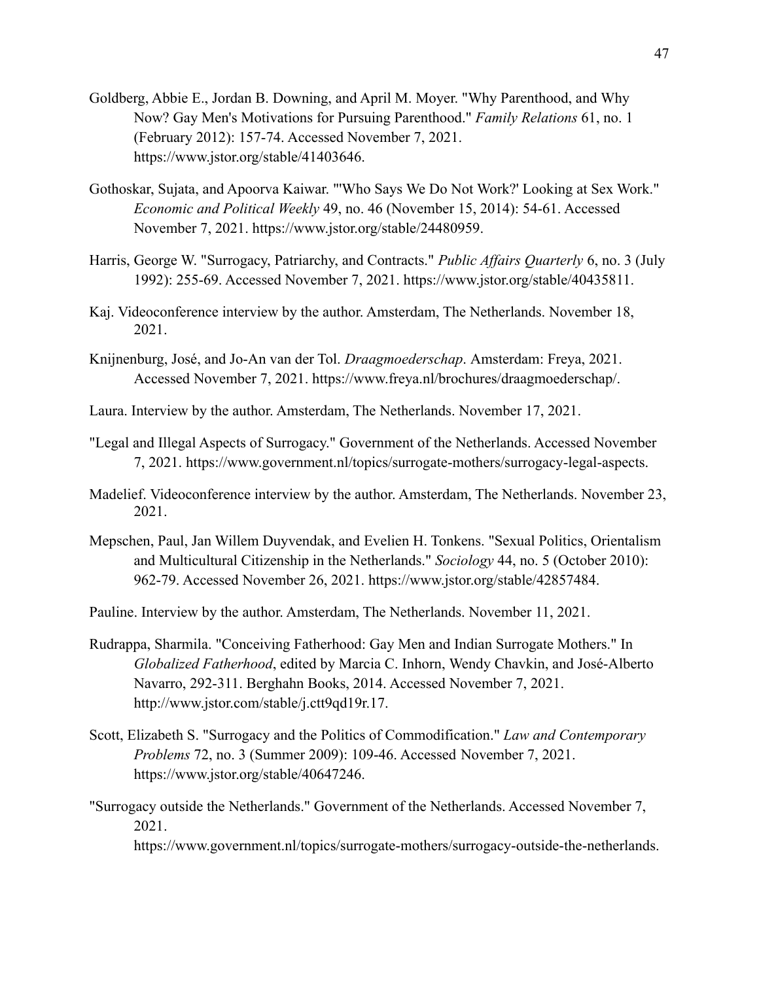- Goldberg, Abbie E., Jordan B. Downing, and April M. Moyer. "Why Parenthood, and Why Now? Gay Men's Motivations for Pursuing Parenthood." *Family Relations* 61, no. 1 (February 2012): 157-74. Accessed November 7, 2021. https://www.jstor.org/stable/41403646.
- Gothoskar, Sujata, and Apoorva Kaiwar. "'Who Says We Do Not Work?' Looking at Sex Work." *Economic and Political Weekly* 49, no. 46 (November 15, 2014): 54-61. Accessed November 7, 2021. https://www.jstor.org/stable/24480959.
- Harris, George W. "Surrogacy, Patriarchy, and Contracts." *Public Affairs Quarterly* 6, no. 3 (July 1992): 255-69. Accessed November 7, 2021. https://www.jstor.org/stable/40435811.
- Kaj. Videoconference interview by the author. Amsterdam, The Netherlands. November 18, 2021.
- Knijnenburg, José, and Jo-An van der Tol. *Draagmoederschap*. Amsterdam: Freya, 2021. Accessed November 7, 2021. https://www.freya.nl/brochures/draagmoederschap/.
- Laura. Interview by the author. Amsterdam, The Netherlands. November 17, 2021.
- "Legal and Illegal Aspects of Surrogacy." Government of the Netherlands. Accessed November 7, 2021. https://www.government.nl/topics/surrogate-mothers/surrogacy-legal-aspects.
- Madelief. Videoconference interview by the author. Amsterdam, The Netherlands. November 23, 2021.
- Mepschen, Paul, Jan Willem Duyvendak, and Evelien H. Tonkens. "Sexual Politics, Orientalism and Multicultural Citizenship in the Netherlands." *Sociology* 44, no. 5 (October 2010): 962-79. Accessed November 26, 2021. https://www.jstor.org/stable/42857484.

Pauline. Interview by the author. Amsterdam, The Netherlands. November 11, 2021.

- Rudrappa, Sharmila. "Conceiving Fatherhood: Gay Men and Indian Surrogate Mothers." In *Globalized Fatherhood*, edited by Marcia C. Inhorn, Wendy Chavkin, and José-Alberto Navarro, 292-311. Berghahn Books, 2014. Accessed November 7, 2021. http://www.jstor.com/stable/j.ctt9qd19r.17.
- Scott, Elizabeth S. "Surrogacy and the Politics of Commodification." *Law and Contemporary Problems* 72, no. 3 (Summer 2009): 109-46. Accessed November 7, 2021. https://www.jstor.org/stable/40647246.
- "Surrogacy outside the Netherlands." Government of the Netherlands. Accessed November 7, 2021.

https://www.government.nl/topics/surrogate-mothers/surrogacy-outside-the-netherlands.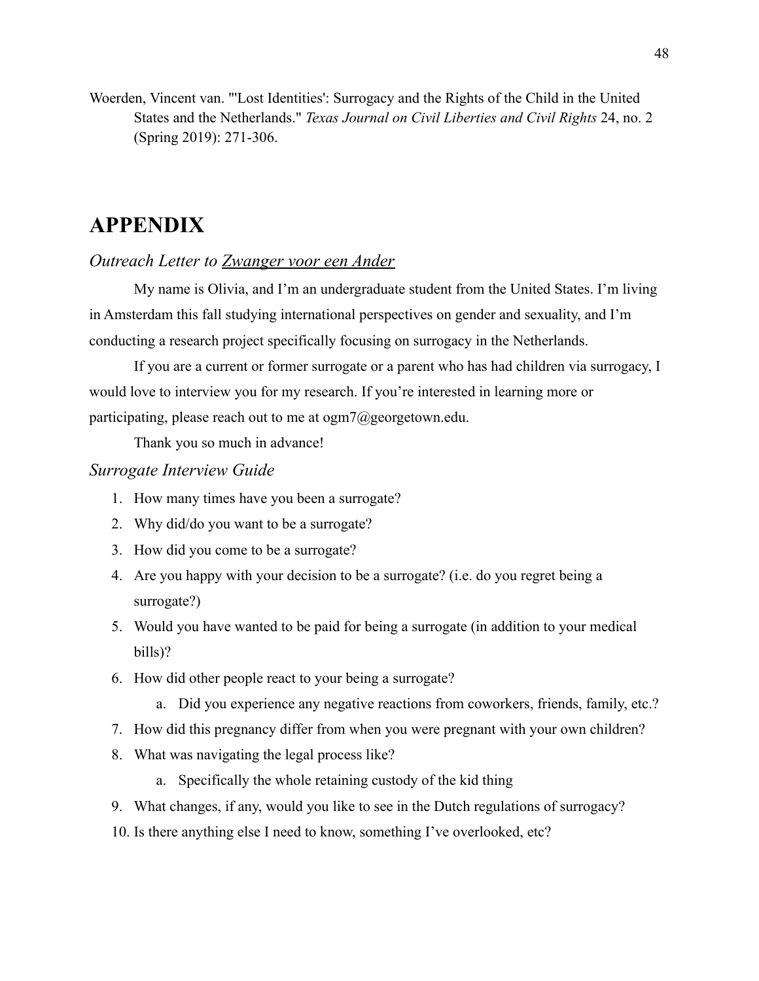Woerden, Vincent van. "'Lost Identities': Surrogacy and the Rights of the Child in the United States and the Netherlands." *Texas Journal on Civil Liberties and Civil Rights* 24, no. 2 (Spring 2019): 271-306.

# <span id="page-49-0"></span>**APPENDIX**

# <span id="page-49-1"></span>*Outreach Letter to Zwanger voor een Ander*

My name is Olivia, and I'm an undergraduate student from the United States. I'm living in Amsterdam this fall studying international perspectives on gender and sexuality, and I'm conducting a research project specifically focusing on surrogacy in the Netherlands.

If you are a current or former surrogate or a parent who has had children via surrogacy, I would love to interview you for my research. If you're interested in learning more or participating, please reach out to me at ogm7@georgetown.edu.

Thank you so much in advance!

# <span id="page-49-2"></span>*Surrogate Interview Guide*

- 1. How many times have you been a surrogate?
- 2. Why did/do you want to be a surrogate?
- 3. How did you come to be a surrogate?
- 4. Are you happy with your decision to be a surrogate? (i.e. do you regret being a surrogate?)
- 5. Would you have wanted to be paid for being a surrogate (in addition to your medical bills)?
- 6. How did other people react to your being a surrogate?
	- a. Did you experience any negative reactions from coworkers, friends, family, etc.?
- 7. How did this pregnancy differ from when you were pregnant with your own children?
- 8. What was navigating the legal process like?
	- a. Specifically the whole retaining custody of the kid thing
- 9. What changes, if any, would you like to see in the Dutch regulations of surrogacy?
- 10. Is there anything else I need to know, something I've overlooked, etc?